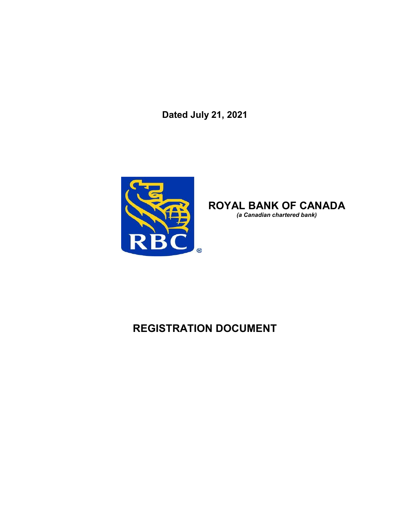**Dated July 21, 2021**



**ROYAL BANK OF CANADA** *(a Canadian chartered bank)*

# **REGISTRATION DOCUMENT**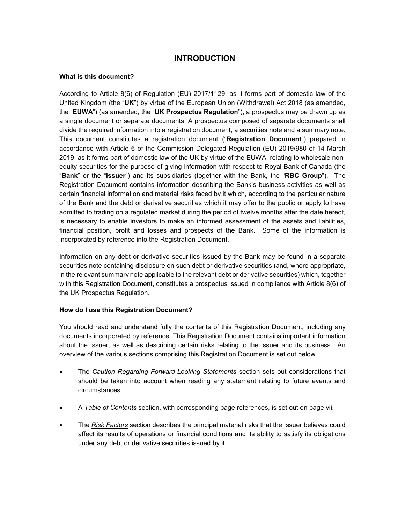# **INTRODUCTION**

#### **What is this document?**

According to Article 8(6) of Regulation (EU) 2017/1129, as it forms part of domestic law of the United Kingdom (the "**UK**") by virtue of the European Union (Withdrawal) Act 2018 (as amended, the "**EUWA**") (as amended, the "**UK Prospectus Regulation**"), a prospectus may be drawn up as a single document or separate documents. A prospectus composed of separate documents shall divide the required information into a registration document, a securities note and a summary note. This document constitutes a registration document ("**Registration Document**") prepared in accordance with Article 6 of the Commission Delegated Regulation (EU) 2019/980 of 14 March 2019, as it forms part of domestic law of the UK by virtue of the EUWA, relating to wholesale nonequity securities for the purpose of giving information with respect to Royal Bank of Canada (the "**Bank**" or the "**Issuer**") and its subsidiaries (together with the Bank, the "**RBC Group**"). The Registration Document contains information describing the Bank's business activities as well as certain financial information and material risks faced by it which, according to the particular nature of the Bank and the debt or derivative securities which it may offer to the public or apply to have admitted to trading on a regulated market during the period of twelve months after the date hereof, is necessary to enable investors to make an informed assessment of the assets and liabilities, financial position, profit and losses and prospects of the Bank. Some of the information is incorporated by reference into the Registration Document.

Information on any debt or derivative securities issued by the Bank may be found in a separate securities note containing disclosure on such debt or derivative securities (and, where appropriate, in the relevant summary note applicable to the relevant debt or derivative securities) which, together with this Registration Document, constitutes a prospectus issued in compliance with Article 8(6) of the UK Prospectus Regulation.

#### **How do I use this Registration Document?**

You should read and understand fully the contents of this Registration Document, including any documents incorporated by reference. This Registration Document contains important information about the Issuer, as well as describing certain risks relating to the Issuer and its business. An overview of the various sections comprising this Registration Document is set out below.

- The *Caution Regarding Forward-Looking Statements* section sets out considerations that should be taken into account when reading any statement relating to future events and circumstances.
- A *Table of Contents* section, with corresponding page references, is set out on page vii.
- The *Risk Factors* section describes the principal material risks that the Issuer believes could affect its results of operations or financial conditions and its ability to satisfy its obligations under any debt or derivative securities issued by it.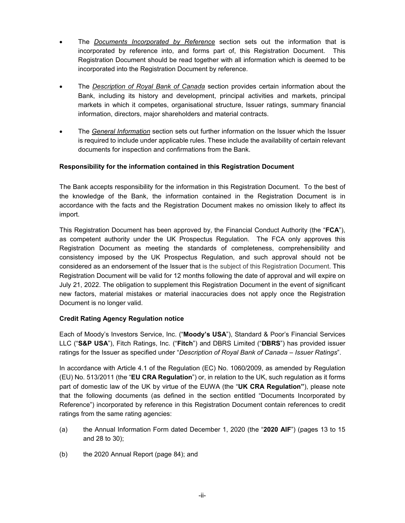- The *Documents Incorporated by Reference* section sets out the information that is incorporated by reference into, and forms part of, this Registration Document. This Registration Document should be read together with all information which is deemed to be incorporated into the Registration Document by reference.
- The *Description of Royal Bank of Canada* section provides certain information about the Bank, including its history and development, principal activities and markets, principal markets in which it competes, organisational structure, Issuer ratings, summary financial information, directors, major shareholders and material contracts.
- The *General Information* section sets out further information on the Issuer which the Issuer is required to include under applicable rules. These include the availability of certain relevant documents for inspection and confirmations from the Bank.

#### **Responsibility for the information contained in this Registration Document**

The Bank accepts responsibility for the information in this Registration Document. To the best of the knowledge of the Bank, the information contained in the Registration Document is in accordance with the facts and the Registration Document makes no omission likely to affect its import.

This Registration Document has been approved by, the Financial Conduct Authority (the "**FCA**"), as competent authority under the UK Prospectus Regulation. The FCA only approves this Registration Document as meeting the standards of completeness, comprehensibility and consistency imposed by the UK Prospectus Regulation, and such approval should not be considered as an endorsement of the Issuer that is the subject of this Registration Document. This Registration Document will be valid for 12 months following the date of approval and will expire on July 21, 2022. The obligation to supplement this Registration Document in the event of significant new factors, material mistakes or material inaccuracies does not apply once the Registration Document is no longer valid.

#### **Credit Rating Agency Regulation notice**

Each of Moody's Investors Service, Inc. ("**Moody's USA**"), Standard & Poor's Financial Services LLC ("**S&P USA**"), Fitch Ratings, Inc. ("**Fitch**") and DBRS Limited ("**DBRS**") has provided issuer ratings for the Issuer as specified under "*Description of Royal Bank of Canada – Issuer Ratings*".

In accordance with Article 4.1 of the Regulation (EC) No. 1060/2009, as amended by Regulation (EU) No. 513/2011 (the "**EU CRA Regulation**") or, in relation to the UK, such regulation as it forms part of domestic law of the UK by virtue of the EUWA (the "**UK CRA Regulation"**), please note that the following documents (as defined in the section entitled "Documents Incorporated by Reference") incorporated by reference in this Registration Document contain references to credit ratings from the same rating agencies:

- (a) the Annual Information Form dated December 1, 2020 (the "**2020 AIF**") (pages 13 to 15 and 28 to 30);
- (b) the 2020 Annual Report (page 84); and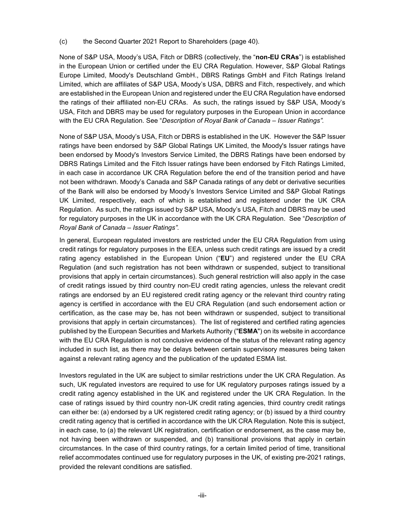(c) the Second Quarter 2021 Report to Shareholders (page 40).

None of S&P USA, Moody's USA, Fitch or DBRS (collectively, the "**non-EU CRAs**") is established in the European Union or certified under the EU CRA Regulation. However, S&P Global Ratings Europe Limited, Moody's Deutschland GmbH., DBRS Ratings GmbH and Fitch Ratings Ireland Limited, which are affiliates of S&P USA, Moody's USA, DBRS and Fitch, respectively, and which are established in the European Union and registered under the EU CRA Regulation have endorsed the ratings of their affiliated non-EU CRAs. As such, the ratings issued by S&P USA, Moody's USA, Fitch and DBRS may be used for regulatory purposes in the European Union in accordance with the EU CRA Regulation. See "*Description of Royal Bank of Canada – Issuer Ratings".*

None of S&P USA, Moody's USA, Fitch or DBRS is established in the UK. However the S&P Issuer ratings have been endorsed by S&P Global Ratings UK Limited, the Moody's Issuer ratings have been endorsed by Moody's Investors Service Limited, the DBRS Ratings have been endorsed by DBRS Ratings Limited and the Fitch Issuer ratings have been endorsed by Fitch Ratings Limited, in each case in accordance UK CRA Regulation before the end of the transition period and have not been withdrawn. Moody's Canada and S&P Canada ratings of any debt or derivative securities of the Bank will also be endorsed by Moody's Investors Service Limited and S&P Global Ratings UK Limited, respectively, each of which is established and registered under the UK CRA Regulation. As such, the ratings issued by S&P USA, Moody's USA, Fitch and DBRS may be used for regulatory purposes in the UK in accordance with the UK CRA Regulation. See "*Description of Royal Bank of Canada – Issuer Ratings".*

In general, European regulated investors are restricted under the EU CRA Regulation from using credit ratings for regulatory purposes in the EEA, unless such credit ratings are issued by a credit rating agency established in the European Union ("**EU**") and registered under the EU CRA Regulation (and such registration has not been withdrawn or suspended, subject to transitional provisions that apply in certain circumstances). Such general restriction will also apply in the case of credit ratings issued by third country non-EU credit rating agencies, unless the relevant credit ratings are endorsed by an EU registered credit rating agency or the relevant third country rating agency is certified in accordance with the EU CRA Regulation (and such endorsement action or certification, as the case may be, has not been withdrawn or suspended, subject to transitional provisions that apply in certain circumstances). The list of registered and certified rating agencies published by the European Securities and Markets Authority ("**ESMA**") on its website in accordance with the EU CRA Regulation is not conclusive evidence of the status of the relevant rating agency included in such list, as there may be delays between certain supervisory measures being taken against a relevant rating agency and the publication of the updated ESMA list.

Investors regulated in the UK are subject to similar restrictions under the UK CRA Regulation. As such, UK regulated investors are required to use for UK regulatory purposes ratings issued by a credit rating agency established in the UK and registered under the UK CRA Regulation. In the case of ratings issued by third country non-UK credit rating agencies, third country credit ratings can either be: (a) endorsed by a UK registered credit rating agency; or (b) issued by a third country credit rating agency that is certified in accordance with the UK CRA Regulation. Note this is subject, in each case, to (a) the relevant UK registration, certification or endorsement, as the case may be, not having been withdrawn or suspended, and (b) transitional provisions that apply in certain circumstances. In the case of third country ratings, for a certain limited period of time, transitional relief accommodates continued use for regulatory purposes in the UK, of existing pre-2021 ratings, provided the relevant conditions are satisfied.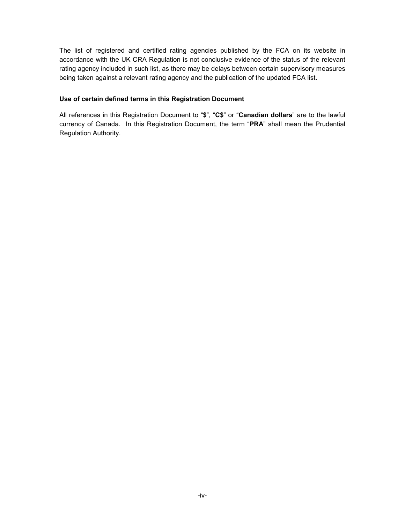The list of registered and certified rating agencies published by the FCA on its website in accordance with the UK CRA Regulation is not conclusive evidence of the status of the relevant rating agency included in such list, as there may be delays between certain supervisory measures being taken against a relevant rating agency and the publication of the updated FCA list.

#### **Use of certain defined terms in this Registration Document**

All references in this Registration Document to "**\$**", "**C\$**" or "**Canadian dollars**" are to the lawful currency of Canada. In this Registration Document, the term "**PRA**" shall mean the Prudential Regulation Authority.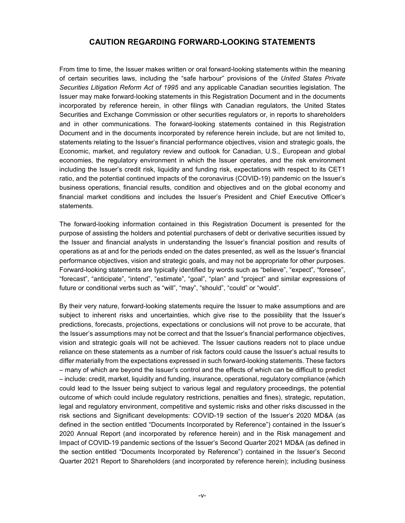# **CAUTION REGARDING FORWARD-LOOKING STATEMENTS**

From time to time, the Issuer makes written or oral forward-looking statements within the meaning of certain securities laws, including the "safe harbour" provisions of the *United States Private Securities Litigation Reform Act of 1995* and any applicable Canadian securities legislation. The Issuer may make forward-looking statements in this Registration Document and in the documents incorporated by reference herein, in other filings with Canadian regulators, the United States Securities and Exchange Commission or other securities regulators or, in reports to shareholders and in other communications. The forward-looking statements contained in this Registration Document and in the documents incorporated by reference herein include, but are not limited to, statements relating to the Issuer's financial performance objectives, vision and strategic goals, the Economic, market, and regulatory review and outlook for Canadian, U.S., European and global economies, the regulatory environment in which the Issuer operates, and the risk environment including the Issuer's credit risk, liquidity and funding risk, expectations with respect to its CET1 ratio, and the potential continued impacts of the coronavirus (COVID-19) pandemic on the Issuer's business operations, financial results, condition and objectives and on the global economy and financial market conditions and includes the Issuer's President and Chief Executive Officer's statements.

The forward-looking information contained in this Registration Document is presented for the purpose of assisting the holders and potential purchasers of debt or derivative securities issued by the Issuer and financial analysts in understanding the Issuer's financial position and results of operations as at and for the periods ended on the dates presented, as well as the Issuer's financial performance objectives, vision and strategic goals, and may not be appropriate for other purposes. Forward-looking statements are typically identified by words such as "believe", "expect", "foresee", "forecast", "anticipate", "intend", "estimate", "goal", "plan" and "project" and similar expressions of future or conditional verbs such as "will", "may", "should", "could" or "would".

By their very nature, forward-looking statements require the Issuer to make assumptions and are subject to inherent risks and uncertainties, which give rise to the possibility that the Issuer's predictions, forecasts, projections, expectations or conclusions will not prove to be accurate, that the Issuer's assumptions may not be correct and that the Issuer's financial performance objectives, vision and strategic goals will not be achieved. The Issuer cautions readers not to place undue reliance on these statements as a number of risk factors could cause the Issuer's actual results to differ materially from the expectations expressed in such forward-looking statements. These factors – many of which are beyond the Issuer's control and the effects of which can be difficult to predict – include: credit, market, liquidity and funding, insurance, operational, regulatory compliance (which could lead to the Issuer being subject to various legal and regulatory proceedings, the potential outcome of which could include regulatory restrictions, penalties and fines), strategic, reputation, legal and regulatory environment, competitive and systemic risks and other risks discussed in the risk sections and Significant developments: COVID-19 section of the Issuer's 2020 MD&A (as defined in the section entitled "Documents Incorporated by Reference") contained in the Issuer's 2020 Annual Report (and incorporated by reference herein) and in the Risk management and Impact of COVID-19 pandemic sections of the Issuer's Second Quarter 2021 MD&A (as defined in the section entitled "Documents Incorporated by Reference") contained in the Issuer's Second Quarter 2021 Report to Shareholders (and incorporated by reference herein); including business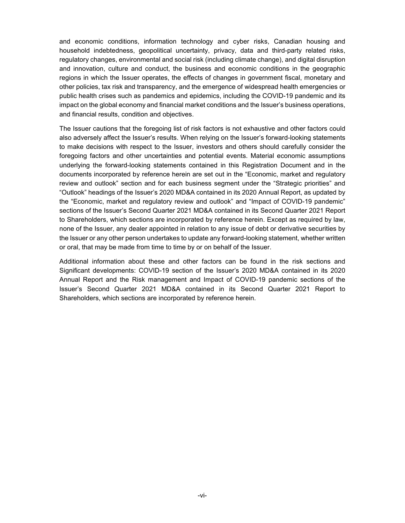and economic conditions, information technology and cyber risks, Canadian housing and household indebtedness, geopolitical uncertainty, privacy, data and third-party related risks, regulatory changes, environmental and social risk (including climate change), and digital disruption and innovation, culture and conduct, the business and economic conditions in the geographic regions in which the Issuer operates, the effects of changes in government fiscal, monetary and other policies, tax risk and transparency, and the emergence of widespread health emergencies or public health crises such as pandemics and epidemics, including the COVID-19 pandemic and its impact on the global economy and financial market conditions and the Issuer's business operations, and financial results, condition and objectives.

The Issuer cautions that the foregoing list of risk factors is not exhaustive and other factors could also adversely affect the Issuer's results. When relying on the Issuer's forward-looking statements to make decisions with respect to the Issuer, investors and others should carefully consider the foregoing factors and other uncertainties and potential events. Material economic assumptions underlying the forward-looking statements contained in this Registration Document and in the documents incorporated by reference herein are set out in the "Economic, market and regulatory review and outlook" section and for each business segment under the "Strategic priorities" and "Outlook" headings of the Issuer's 2020 MD&A contained in its 2020 Annual Report, as updated by the "Economic, market and regulatory review and outlook" and "Impact of COVID-19 pandemic" sections of the Issuer's Second Quarter 2021 MD&A contained in its Second Quarter 2021 Report to Shareholders, which sections are incorporated by reference herein. Except as required by law, none of the Issuer, any dealer appointed in relation to any issue of debt or derivative securities by the Issuer or any other person undertakes to update any forward-looking statement, whether written or oral, that may be made from time to time by or on behalf of the Issuer.

Additional information about these and other factors can be found in the risk sections and Significant developments: COVID-19 section of the Issuer's 2020 MD&A contained in its 2020 Annual Report and the Risk management and Impact of COVID-19 pandemic sections of the Issuer's Second Quarter 2021 MD&A contained in its Second Quarter 2021 Report to Shareholders, which sections are incorporated by reference herein.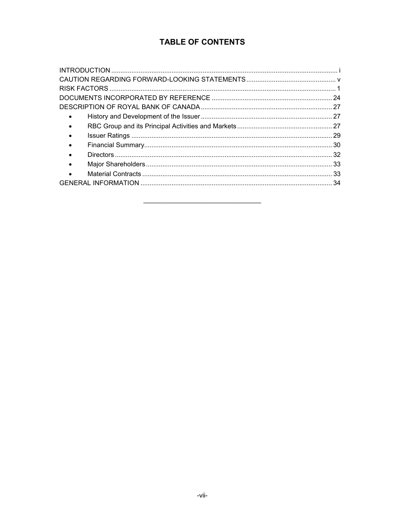# **TABLE OF CONTENTS**

| $\bullet$ |  |
|-----------|--|
| $\bullet$ |  |
| $\bullet$ |  |
|           |  |
| $\bullet$ |  |
| $\bullet$ |  |
|           |  |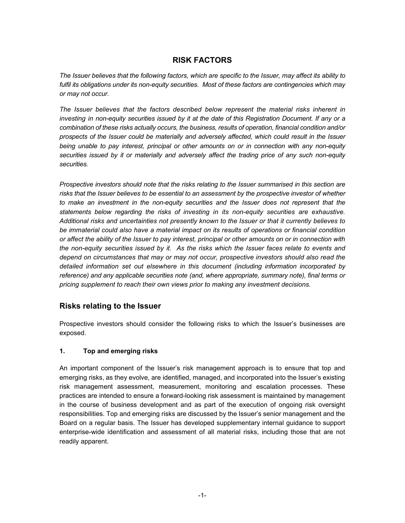# **RISK FACTORS**

*The Issuer believes that the following factors, which are specific to the Issuer, may affect its ability to fulfil its obligations under its non-equity securities. Most of these factors are contingencies which may or may not occur.*

*The Issuer believes that the factors described below represent the material risks inherent in investing in non-equity securities issued by it at the date of this Registration Document. If any or a combination of these risks actually occurs, the business, results of operation, financial condition and/or prospects of the Issuer could be materially and adversely affected, which could result in the Issuer being unable to pay interest, principal or other amounts on or in connection with any non-equity securities issued by it or materially and adversely affect the trading price of any such non-equity securities.*

*Prospective investors should note that the risks relating to the Issuer summarised in this section are risks that the Issuer believes to be essential to an assessment by the prospective investor of whether to make an investment in the non-equity securities and the Issuer does not represent that the statements below regarding the risks of investing in its non-equity securities are exhaustive. Additional risks and uncertainties not presently known to the Issuer or that it currently believes to be immaterial could also have a material impact on its results of operations or financial condition or affect the ability of the Issuer to pay interest, principal or other amounts on or in connection with the non-equity securities issued by it. As the risks which the Issuer faces relate to events and depend on circumstances that may or may not occur, prospective investors should also read the detailed information set out elsewhere in this document (including information incorporated by reference) and any applicable securities note (and, where appropriate, summary note), final terms or pricing supplement to reach their own views prior to making any investment decisions.*

#### **Risks relating to the Issuer**

Prospective investors should consider the following risks to which the Issuer's businesses are exposed.

#### **1. Top and emerging risks**

An important component of the Issuer's risk management approach is to ensure that top and emerging risks, as they evolve, are identified, managed, and incorporated into the Issuer's existing risk management assessment, measurement, monitoring and escalation processes. These practices are intended to ensure a forward-looking risk assessment is maintained by management in the course of business development and as part of the execution of ongoing risk oversight responsibilities. Top and emerging risks are discussed by the Issuer's senior management and the Board on a regular basis. The Issuer has developed supplementary internal guidance to support enterprise-wide identification and assessment of all material risks, including those that are not readily apparent.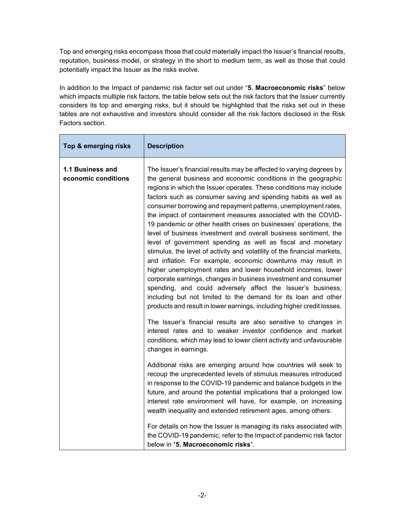Top and emerging risks encompass those that could materially impact the Issuer's financial results, reputation, business model, or strategy in the short to medium term, as well as those that could potentially impact the Issuer as the risks evolve.

In addition to the Impact of pandemic risk factor set out under "**5. Macroeconomic risks**" below which impacts multiple risk factors, the table below sets out the risk factors that the Issuer currently considers its top and emerging risks, but it should be highlighted that the risks set out in these tables are not exhaustive and investors should consider all the risk factors disclosed in the Risk Factors section.

| Top & emerging risks                    | <b>Description</b>                                                                                                                                                                                                                                                                                                                                                                                                                                                                                                                                                                                                                                                                                                                                                                                                                                                                                                                                                                                                                                                                                                                                                                                                                                                                                                                                    |
|-----------------------------------------|-------------------------------------------------------------------------------------------------------------------------------------------------------------------------------------------------------------------------------------------------------------------------------------------------------------------------------------------------------------------------------------------------------------------------------------------------------------------------------------------------------------------------------------------------------------------------------------------------------------------------------------------------------------------------------------------------------------------------------------------------------------------------------------------------------------------------------------------------------------------------------------------------------------------------------------------------------------------------------------------------------------------------------------------------------------------------------------------------------------------------------------------------------------------------------------------------------------------------------------------------------------------------------------------------------------------------------------------------------|
| 1.1 Business and<br>economic conditions | The Issuer's financial results may be affected to varying degrees by<br>the general business and economic conditions in the geographic<br>regions in which the Issuer operates. These conditions may include<br>factors such as consumer saving and spending habits as well as<br>consumer borrowing and repayment patterns, unemployment rates,<br>the impact of containment measures associated with the COVID-<br>19 pandemic or other health crises on businesses' operations, the<br>level of business investment and overall business sentiment, the<br>level of government spending as well as fiscal and monetary<br>stimulus, the level of activity and volatility of the financial markets,<br>and inflation. For example, economic downturns may result in<br>higher unemployment rates and lower household incomes, lower<br>corporate earnings, changes in business investment and consumer<br>spending, and could adversely affect the Issuer's business,<br>including but not limited to the demand for its loan and other<br>products and result in lower earnings, including higher credit losses.<br>The Issuer's financial results are also sensitive to changes in<br>interest rates and to weaker investor confidence and market<br>conditions, which may lead to lower client activity and unfavourable<br>changes in earnings. |
|                                         | Additional risks are emerging around how countries will seek to<br>recoup the unprecedented levels of stimulus measures introduced<br>in response to the COVID-19 pandemic and balance budgets in the<br>future, and around the potential implications that a prolonged low<br>interest rate environment will have, for example, on increasing<br>wealth inequality and extended retirement ages, among others.                                                                                                                                                                                                                                                                                                                                                                                                                                                                                                                                                                                                                                                                                                                                                                                                                                                                                                                                       |
|                                         | For details on how the Issuer is managing its risks associated with<br>the COVID-19 pandemic, refer to the Impact of pandemic risk factor<br>below in "5. Macroeconomic risks".                                                                                                                                                                                                                                                                                                                                                                                                                                                                                                                                                                                                                                                                                                                                                                                                                                                                                                                                                                                                                                                                                                                                                                       |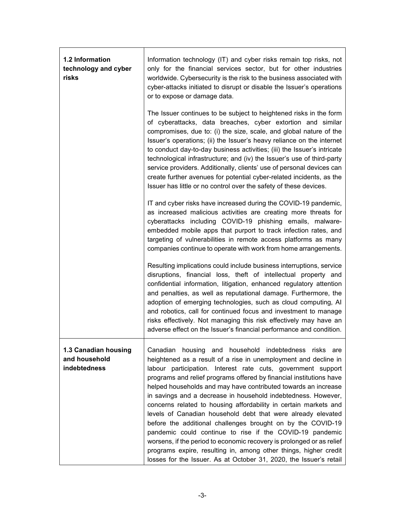| 1.2 Information<br>technology and cyber<br>risks      | Information technology (IT) and cyber risks remain top risks, not<br>only for the financial services sector, but for other industries<br>worldwide. Cybersecurity is the risk to the business associated with<br>cyber-attacks initiated to disrupt or disable the Issuer's operations<br>or to expose or damage data.<br>The Issuer continues to be subject to heightened risks in the form<br>of cyberattacks, data breaches, cyber extortion and similar<br>compromises, due to: (i) the size, scale, and global nature of the<br>Issuer's operations; (ii) the Issuer's heavy reliance on the internet<br>to conduct day-to-day business activities; (iii) the Issuer's intricate                                                                                                                                                                                                |
|-------------------------------------------------------|--------------------------------------------------------------------------------------------------------------------------------------------------------------------------------------------------------------------------------------------------------------------------------------------------------------------------------------------------------------------------------------------------------------------------------------------------------------------------------------------------------------------------------------------------------------------------------------------------------------------------------------------------------------------------------------------------------------------------------------------------------------------------------------------------------------------------------------------------------------------------------------|
|                                                       | technological infrastructure; and (iv) the Issuer's use of third-party<br>service providers. Additionally, clients' use of personal devices can<br>create further avenues for potential cyber-related incidents, as the<br>Issuer has little or no control over the safety of these devices.                                                                                                                                                                                                                                                                                                                                                                                                                                                                                                                                                                                         |
|                                                       | IT and cyber risks have increased during the COVID-19 pandemic,<br>as increased malicious activities are creating more threats for<br>cyberattacks including COVID-19 phishing emails, malware-<br>embedded mobile apps that purport to track infection rates, and<br>targeting of vulnerabilities in remote access platforms as many<br>companies continue to operate with work from home arrangements.                                                                                                                                                                                                                                                                                                                                                                                                                                                                             |
|                                                       | Resulting implications could include business interruptions, service<br>disruptions, financial loss, theft of intellectual property and<br>confidential information, litigation, enhanced regulatory attention<br>and penalties, as well as reputational damage. Furthermore, the<br>adoption of emerging technologies, such as cloud computing, AI<br>and robotics, call for continued focus and investment to manage<br>risks effectively. Not managing this risk effectively may have an<br>adverse effect on the Issuer's financial performance and condition.                                                                                                                                                                                                                                                                                                                   |
| 1.3 Canadian housing<br>and household<br>indebtedness | Canadian housing and household indebtedness risks are<br>heightened as a result of a rise in unemployment and decline in<br>labour participation. Interest rate cuts, government support<br>programs and relief programs offered by financial institutions have<br>helped households and may have contributed towards an increase<br>in savings and a decrease in household indebtedness. However,<br>concerns related to housing affordability in certain markets and<br>levels of Canadian household debt that were already elevated<br>before the additional challenges brought on by the COVID-19<br>pandemic could continue to rise if the COVID-19 pandemic<br>worsens, if the period to economic recovery is prolonged or as relief<br>programs expire, resulting in, among other things, higher credit<br>losses for the Issuer. As at October 31, 2020, the Issuer's retail |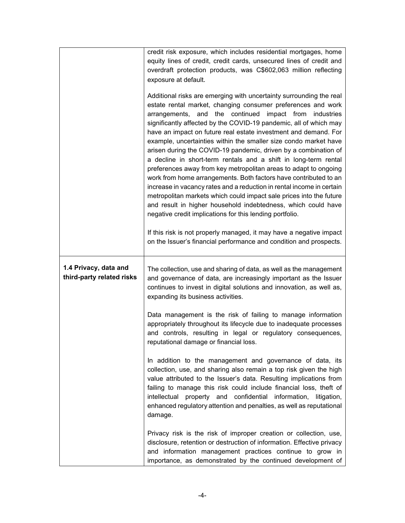|                                                    | credit risk exposure, which includes residential mortgages, home<br>equity lines of credit, credit cards, unsecured lines of credit and<br>overdraft protection products, was C\$602,063 million reflecting<br>exposure at default.<br>Additional risks are emerging with uncertainty surrounding the real<br>estate rental market, changing consumer preferences and work<br>arrangements, and the continued impact from industries<br>significantly affected by the COVID-19 pandemic, all of which may<br>have an impact on future real estate investment and demand. For<br>example, uncertainties within the smaller size condo market have<br>arisen during the COVID-19 pandemic, driven by a combination of<br>a decline in short-term rentals and a shift in long-term rental<br>preferences away from key metropolitan areas to adapt to ongoing<br>work from home arrangements. Both factors have contributed to an<br>increase in vacancy rates and a reduction in rental income in certain<br>metropolitan markets which could impact sale prices into the future<br>and result in higher household indebtedness, which could have<br>negative credit implications for this lending portfolio. |
|----------------------------------------------------|-------------------------------------------------------------------------------------------------------------------------------------------------------------------------------------------------------------------------------------------------------------------------------------------------------------------------------------------------------------------------------------------------------------------------------------------------------------------------------------------------------------------------------------------------------------------------------------------------------------------------------------------------------------------------------------------------------------------------------------------------------------------------------------------------------------------------------------------------------------------------------------------------------------------------------------------------------------------------------------------------------------------------------------------------------------------------------------------------------------------------------------------------------------------------------------------------------------|
|                                                    | If this risk is not properly managed, it may have a negative impact<br>on the Issuer's financial performance and condition and prospects.                                                                                                                                                                                                                                                                                                                                                                                                                                                                                                                                                                                                                                                                                                                                                                                                                                                                                                                                                                                                                                                                   |
| 1.4 Privacy, data and<br>third-party related risks | The collection, use and sharing of data, as well as the management<br>and governance of data, are increasingly important as the Issuer<br>continues to invest in digital solutions and innovation, as well as,<br>expanding its business activities.                                                                                                                                                                                                                                                                                                                                                                                                                                                                                                                                                                                                                                                                                                                                                                                                                                                                                                                                                        |
|                                                    | Data management is the risk of failing to manage information<br>appropriately throughout its lifecycle due to inadequate processes<br>and controls, resulting in legal or regulatory consequences,<br>reputational damage or financial loss.                                                                                                                                                                                                                                                                                                                                                                                                                                                                                                                                                                                                                                                                                                                                                                                                                                                                                                                                                                |
|                                                    | In addition to the management and governance of data, its<br>collection, use, and sharing also remain a top risk given the high<br>value attributed to the Issuer's data. Resulting implications from<br>failing to manage this risk could include financial loss, theft of<br>intellectual property and confidential information, litigation,<br>enhanced regulatory attention and penalties, as well as reputational<br>damage.                                                                                                                                                                                                                                                                                                                                                                                                                                                                                                                                                                                                                                                                                                                                                                           |
|                                                    | Privacy risk is the risk of improper creation or collection, use,<br>disclosure, retention or destruction of information. Effective privacy<br>and information management practices continue to grow in<br>importance, as demonstrated by the continued development of                                                                                                                                                                                                                                                                                                                                                                                                                                                                                                                                                                                                                                                                                                                                                                                                                                                                                                                                      |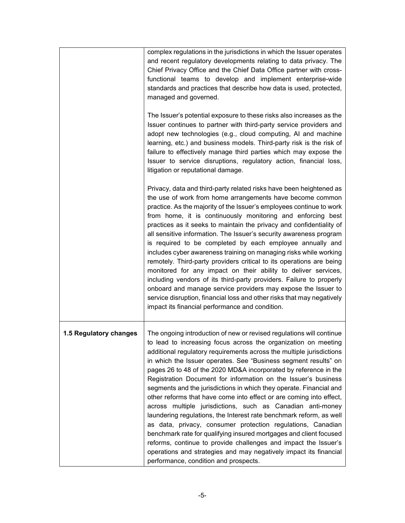|                        | complex regulations in the jurisdictions in which the Issuer operates<br>and recent regulatory developments relating to data privacy. The<br>Chief Privacy Office and the Chief Data Office partner with cross-<br>functional teams to develop and implement enterprise-wide<br>standards and practices that describe how data is used, protected,<br>managed and governed.                                                                                                                                                                                                                                                                                                                                                                                                                                                                                                                                                                                                                                                      |
|------------------------|----------------------------------------------------------------------------------------------------------------------------------------------------------------------------------------------------------------------------------------------------------------------------------------------------------------------------------------------------------------------------------------------------------------------------------------------------------------------------------------------------------------------------------------------------------------------------------------------------------------------------------------------------------------------------------------------------------------------------------------------------------------------------------------------------------------------------------------------------------------------------------------------------------------------------------------------------------------------------------------------------------------------------------|
|                        | The Issuer's potential exposure to these risks also increases as the<br>Issuer continues to partner with third-party service providers and<br>adopt new technologies (e.g., cloud computing, AI and machine<br>learning, etc.) and business models. Third-party risk is the risk of<br>failure to effectively manage third parties which may expose the<br>Issuer to service disruptions, regulatory action, financial loss,<br>litigation or reputational damage.                                                                                                                                                                                                                                                                                                                                                                                                                                                                                                                                                               |
|                        | Privacy, data and third-party related risks have been heightened as<br>the use of work from home arrangements have become common<br>practice. As the majority of the Issuer's employees continue to work<br>from home, it is continuously monitoring and enforcing best<br>practices as it seeks to maintain the privacy and confidentiality of<br>all sensitive information. The Issuer's security awareness program<br>is required to be completed by each employee annually and<br>includes cyber awareness training on managing risks while working<br>remotely. Third-party providers critical to its operations are being<br>monitored for any impact on their ability to deliver services,<br>including vendors of its third-party providers. Failure to properly<br>onboard and manage service providers may expose the Issuer to<br>service disruption, financial loss and other risks that may negatively<br>impact its financial performance and condition.                                                           |
| 1.5 Regulatory changes | The ongoing introduction of new or revised regulations will continue<br>to lead to increasing focus across the organization on meeting<br>additional regulatory requirements across the multiple jurisdictions<br>in which the Issuer operates. See "Business segment results" on<br>pages 26 to 48 of the 2020 MD&A incorporated by reference in the<br>Registration Document for information on the Issuer's business<br>segments and the jurisdictions in which they operate. Financial and<br>other reforms that have come into effect or are coming into effect,<br>across multiple jurisdictions, such as Canadian anti-money<br>laundering regulations, the Interest rate benchmark reform, as well<br>as data, privacy, consumer protection regulations, Canadian<br>benchmark rate for qualifying insured mortgages and client focused<br>reforms, continue to provide challenges and impact the Issuer's<br>operations and strategies and may negatively impact its financial<br>performance, condition and prospects. |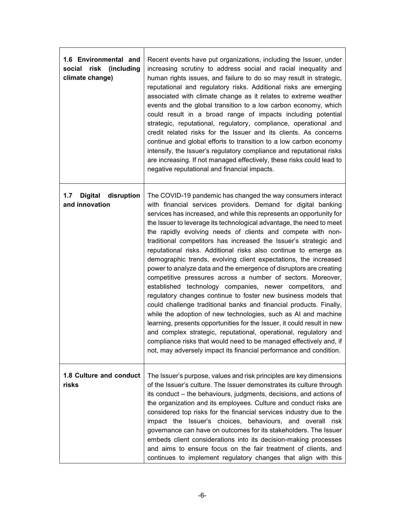| 1.6 Environmental and<br>(including)<br>social<br>risk<br>climate change) | Recent events have put organizations, including the Issuer, under<br>increasing scrutiny to address social and racial inequality and<br>human rights issues, and failure to do so may result in strategic,<br>reputational and regulatory risks. Additional risks are emerging<br>associated with climate change as it relates to extreme weather<br>events and the global transition to a low carbon economy, which<br>could result in a broad range of impacts including potential<br>strategic, reputational, regulatory, compliance, operational and<br>credit related risks for the Issuer and its clients. As concerns<br>continue and global efforts to transition to a low carbon economy<br>intensify, the Issuer's regulatory compliance and reputational risks<br>are increasing. If not managed effectively, these risks could lead to<br>negative reputational and financial impacts.                                                                                                                                                                                                                                                                                                                                                           |
|---------------------------------------------------------------------------|--------------------------------------------------------------------------------------------------------------------------------------------------------------------------------------------------------------------------------------------------------------------------------------------------------------------------------------------------------------------------------------------------------------------------------------------------------------------------------------------------------------------------------------------------------------------------------------------------------------------------------------------------------------------------------------------------------------------------------------------------------------------------------------------------------------------------------------------------------------------------------------------------------------------------------------------------------------------------------------------------------------------------------------------------------------------------------------------------------------------------------------------------------------------------------------------------------------------------------------------------------------|
| 1.7<br><b>Digital</b><br>disruption<br>and innovation                     | The COVID-19 pandemic has changed the way consumers interact<br>with financial services providers. Demand for digital banking<br>services has increased, and while this represents an opportunity for<br>the Issuer to leverage its technological advantage, the need to meet<br>the rapidly evolving needs of clients and compete with non-<br>traditional competitors has increased the Issuer's strategic and<br>reputational risks. Additional risks also continue to emerge as<br>demographic trends, evolving client expectations, the increased<br>power to analyze data and the emergence of disruptors are creating<br>competitive pressures across a number of sectors. Moreover,<br>established technology companies, newer competitors, and<br>regulatory changes continue to foster new business models that<br>could challenge traditional banks and financial products. Finally,<br>while the adoption of new technologies, such as AI and machine<br>learning, presents opportunities for the Issuer, it could result in new<br>and complex strategic, reputational, operational, regulatory and<br>compliance risks that would need to be managed effectively and, if<br>not, may adversely impact its financial performance and condition. |
| 1.8 Culture and conduct<br>risks                                          | The Issuer's purpose, values and risk principles are key dimensions<br>of the Issuer's culture. The Issuer demonstrates its culture through<br>its conduct - the behaviours, judgments, decisions, and actions of<br>the organization and its employees. Culture and conduct risks are<br>considered top risks for the financial services industry due to the<br>impact the Issuer's choices, behaviours, and overall risk<br>governance can have on outcomes for its stakeholders. The Issuer<br>embeds client considerations into its decision-making processes<br>and aims to ensure focus on the fair treatment of clients, and<br>continues to implement regulatory changes that align with this                                                                                                                                                                                                                                                                                                                                                                                                                                                                                                                                                        |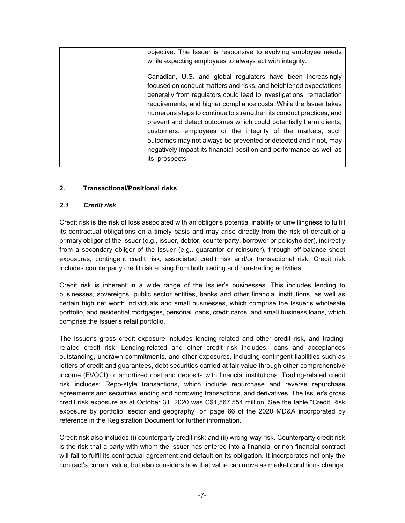| objective. The Issuer is responsive to evolving employee needs                                                                                                                                                                                                                                                                                                                                                                                                                                                                                                                                                                                      |
|-----------------------------------------------------------------------------------------------------------------------------------------------------------------------------------------------------------------------------------------------------------------------------------------------------------------------------------------------------------------------------------------------------------------------------------------------------------------------------------------------------------------------------------------------------------------------------------------------------------------------------------------------------|
| while expecting employees to always act with integrity.                                                                                                                                                                                                                                                                                                                                                                                                                                                                                                                                                                                             |
| Canadian, U.S. and global regulators have been increasingly<br>focused on conduct matters and risks, and heightened expectations<br>generally from regulators could lead to investigations, remediation<br>requirements, and higher compliance costs. While the Issuer takes<br>numerous steps to continue to strengthen its conduct practices, and<br>prevent and detect outcomes which could potentially harm clients,<br>customers, employees or the integrity of the markets, such<br>outcomes may not always be prevented or detected and if not, may<br>negatively impact its financial position and performance as well as<br>its prospects. |
|                                                                                                                                                                                                                                                                                                                                                                                                                                                                                                                                                                                                                                                     |

#### **2. Transactional/Positional risks**

#### *2.1 Credit risk*

Credit risk is the risk of loss associated with an obligor's potential inability or unwillingness to fulfill its contractual obligations on a timely basis and may arise directly from the risk of default of a primary obligor of the Issuer (e.g., issuer, debtor, counterparty, borrower or policyholder), indirectly from a secondary obligor of the Issuer (e.g., guarantor or reinsurer), through off-balance sheet exposures, contingent credit risk, associated credit risk and/or transactional risk. Credit risk includes counterparty credit risk arising from both trading and non-trading activities.

Credit risk is inherent in a wide range of the Issuer's businesses. This includes lending to businesses, sovereigns, public sector entities, banks and other financial institutions, as well as certain high net worth individuals and small businesses, which comprise the Issuer's wholesale portfolio, and residential mortgages, personal loans, credit cards, and small business loans, which comprise the Issuer's retail portfolio.

The Issuer's gross credit exposure includes lending-related and other credit risk, and tradingrelated credit risk. Lending-related and other credit risk includes: loans and acceptances outstanding, undrawn commitments, and other exposures, including contingent liabilities such as letters of credit and guarantees, debt securities carried at fair value through other comprehensive income (FVOCI) or amortized cost and deposits with financial institutions. Trading-related credit risk includes: Repo-style transactions, which include repurchase and reverse repurchase agreements and securities lending and borrowing transactions, and derivatives. The Issuer's gross credit risk exposure as at October 31, 2020 was C\$1,567,554 million. See the table "Credit Risk exposure by portfolio, sector and geography" on page 66 of the 2020 MD&A incorporated by reference in the Registration Document for further information.

Credit risk also includes (i) counterparty credit risk; and (ii) wrong-way risk. Counterparty credit risk is the risk that a party with whom the Issuer has entered into a financial or non-financial contract will fail to fulfil its contractual agreement and default on its obligation. It incorporates not only the contract's current value, but also considers how that value can move as market conditions change.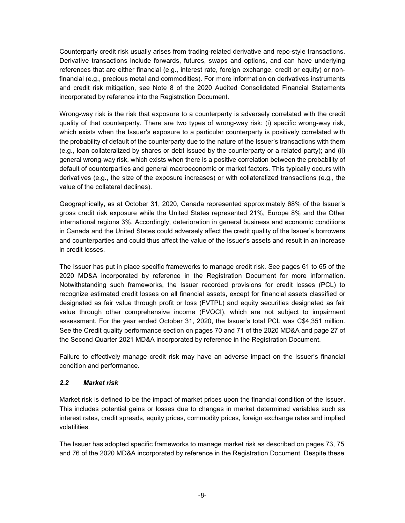Counterparty credit risk usually arises from trading-related derivative and repo-style transactions. Derivative transactions include forwards, futures, swaps and options, and can have underlying references that are either financial (e.g., interest rate, foreign exchange, credit or equity) or nonfinancial (e.g., precious metal and commodities). For more information on derivatives instruments and credit risk mitigation, see Note 8 of the 2020 Audited Consolidated Financial Statements incorporated by reference into the Registration Document.

Wrong-way risk is the risk that exposure to a counterparty is adversely correlated with the credit quality of that counterparty. There are two types of wrong-way risk: (i) specific wrong-way risk, which exists when the Issuer's exposure to a particular counterparty is positively correlated with the probability of default of the counterparty due to the nature of the Issuer's transactions with them (e.g., loan collateralized by shares or debt issued by the counterparty or a related party); and (ii) general wrong-way risk, which exists when there is a positive correlation between the probability of default of counterparties and general macroeconomic or market factors. This typically occurs with derivatives (e.g., the size of the exposure increases) or with collateralized transactions (e.g., the value of the collateral declines).

Geographically, as at October 31, 2020, Canada represented approximately 68% of the Issuer's gross credit risk exposure while the United States represented 21%, Europe 8% and the Other international regions 3%. Accordingly, deterioration in general business and economic conditions in Canada and the United States could adversely affect the credit quality of the Issuer's borrowers and counterparties and could thus affect the value of the Issuer's assets and result in an increase in credit losses.

The Issuer has put in place specific frameworks to manage credit risk. See pages 61 to 65 of the 2020 MD&A incorporated by reference in the Registration Document for more information. Notwithstanding such frameworks, the Issuer recorded provisions for credit losses (PCL) to recognize estimated credit losses on all financial assets, except for financial assets classified or designated as fair value through profit or loss (FVTPL) and equity securities designated as fair value through other comprehensive income (FVOCI), which are not subject to impairment assessment. For the year ended October 31, 2020, the Issuer's total PCL was C\$4,351 million. See the Credit quality performance section on pages 70 and 71 of the 2020 MD&A and page 27 of the Second Quarter 2021 MD&A incorporated by reference in the Registration Document.

Failure to effectively manage credit risk may have an adverse impact on the Issuer's financial condition and performance.

#### *2.2 Market risk*

Market risk is defined to be the impact of market prices upon the financial condition of the Issuer. This includes potential gains or losses due to changes in market determined variables such as interest rates, credit spreads, equity prices, commodity prices, foreign exchange rates and implied volatilities.

The Issuer has adopted specific frameworks to manage market risk as described on pages 73, 75 and 76 of the 2020 MD&A incorporated by reference in the Registration Document. Despite these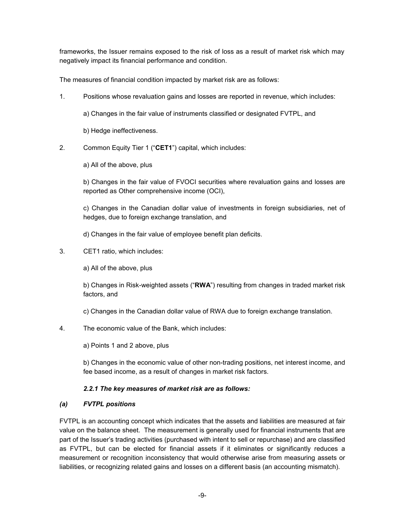frameworks, the Issuer remains exposed to the risk of loss as a result of market risk which may negatively impact its financial performance and condition.

The measures of financial condition impacted by market risk are as follows:

1. Positions whose revaluation gains and losses are reported in revenue, which includes:

a) Changes in the fair value of instruments classified or designated FVTPL, and

b) Hedge ineffectiveness.

2. Common Equity Tier 1 ("**CET1**") capital, which includes:

a) All of the above, plus

b) Changes in the fair value of FVOCI securities where revaluation gains and losses are reported as Other comprehensive income (OCI),

c) Changes in the Canadian dollar value of investments in foreign subsidiaries, net of hedges, due to foreign exchange translation, and

d) Changes in the fair value of employee benefit plan deficits.

3. CET1 ratio, which includes:

a) All of the above, plus

b) Changes in Risk-weighted assets ("**RWA**") resulting from changes in traded market risk factors, and

c) Changes in the Canadian dollar value of RWA due to foreign exchange translation.

4. The economic value of the Bank, which includes:

a) Points 1 and 2 above, plus

b) Changes in the economic value of other non-trading positions, net interest income, and fee based income, as a result of changes in market risk factors.

#### *2.2.1 The key measures of market risk are as follows:*

#### *(a) FVTPL positions*

FVTPL is an accounting concept which indicates that the assets and liabilities are measured at fair value on the balance sheet. The measurement is generally used for financial instruments that are part of the Issuer's trading activities (purchased with intent to sell or repurchase) and are classified as FVTPL, but can be elected for financial assets if it eliminates or significantly reduces a measurement or recognition inconsistency that would otherwise arise from measuring assets or liabilities, or recognizing related gains and losses on a different basis (an accounting mismatch).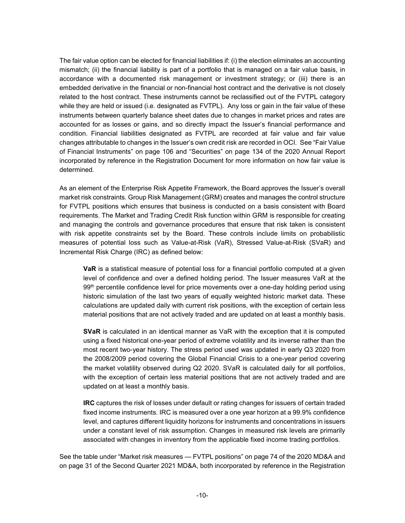The fair value option can be elected for financial liabilities if: (i) the election eliminates an accounting mismatch; (ii) the financial liability is part of a portfolio that is managed on a fair value basis, in accordance with a documented risk management or investment strategy; or (iii) there is an embedded derivative in the financial or non-financial host contract and the derivative is not closely related to the host contract. These instruments cannot be reclassified out of the FVTPL category while they are held or issued (i.e. designated as FVTPL). Any loss or gain in the fair value of these instruments between quarterly balance sheet dates due to changes in market prices and rates are accounted for as losses or gains, and so directly impact the Issuer's financial performance and condition. Financial liabilities designated as FVTPL are recorded at fair value and fair value changes attributable to changes in the Issuer's own credit risk are recorded in OCI. See "Fair Value of Financial Instruments" on page 106 and "Securities" on page 134 of the 2020 Annual Report incorporated by reference in the Registration Document for more information on how fair value is determined.

As an element of the Enterprise Risk Appetite Framework, the Board approves the Issuer's overall market risk constraints. Group Risk Management (GRM) creates and manages the control structure for FVTPL positions which ensures that business is conducted on a basis consistent with Board requirements. The Market and Trading Credit Risk function within GRM is responsible for creating and managing the controls and governance procedures that ensure that risk taken is consistent with risk appetite constraints set by the Board. These controls include limits on probabilistic measures of potential loss such as Value-at-Risk (VaR), Stressed Value-at-Risk (SVaR) and Incremental Risk Charge (IRC) as defined below:

**VaR** is a statistical measure of potential loss for a financial portfolio computed at a given level of confidence and over a defined holding period. The Issuer measures VaR at the 99<sup>th</sup> percentile confidence level for price movements over a one-day holding period using historic simulation of the last two years of equally weighted historic market data. These calculations are updated daily with current risk positions, with the exception of certain less material positions that are not actively traded and are updated on at least a monthly basis.

**SVaR** is calculated in an identical manner as VaR with the exception that it is computed using a fixed historical one-year period of extreme volatility and its inverse rather than the most recent two-year history. The stress period used was updated in early Q3 2020 from the 2008/2009 period covering the Global Financial Crisis to a one-year period covering the market volatility observed during Q2 2020. SVaR is calculated daily for all portfolios, with the exception of certain less material positions that are not actively traded and are updated on at least a monthly basis.

**IRC** captures the risk of losses under default or rating changes for issuers of certain traded fixed income instruments. IRC is measured over a one year horizon at a 99.9% confidence level, and captures different liquidity horizons for instruments and concentrations in issuers under a constant level of risk assumption. Changes in measured risk levels are primarily associated with changes in inventory from the applicable fixed income trading portfolios.

See the table under "Market risk measures — FVTPL positions" on page 74 of the 2020 MD&A and on page 31 of the Second Quarter 2021 MD&A, both incorporated by reference in the Registration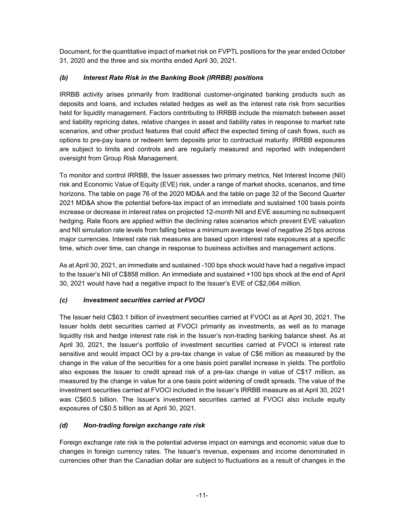Document, for the quantitative impact of market risk on FVPTL positions for the year ended October 31, 2020 and the three and six months ended April 30, 2021.

### *(b) Interest Rate Risk in the Banking Book (IRRBB) positions*

IRRBB activity arises primarily from traditional customer-originated banking products such as deposits and loans, and includes related hedges as well as the interest rate risk from securities held for liquidity management. Factors contributing to IRRBB include the mismatch between asset and liability repricing dates, relative changes in asset and liability rates in response to market rate scenarios, and other product features that could affect the expected timing of cash flows, such as options to pre-pay loans or redeem term deposits prior to contractual maturity. IRRBB exposures are subject to limits and controls and are regularly measured and reported with independent oversight from Group Risk Management.

To monitor and control IRRBB, the Issuer assesses two primary metrics, Net Interest Income (NII) risk and Economic Value of Equity (EVE) risk, under a range of market shocks, scenarios, and time horizons. The table on page 76 of the 2020 MD&A and the table on page 32 of the Second Quarter 2021 MD&A show the potential before-tax impact of an immediate and sustained 100 basis points increase or decrease in interest rates on projected 12-month NII and EVE assuming no subsequent hedging. Rate floors are applied within the declining rates scenarios which prevent EVE valuation and NII simulation rate levels from falling below a minimum average level of negative 25 bps across major currencies. Interest rate risk measures are based upon interest rate exposures at a specific time, which over time, can change in response to business activities and management actions.

As at April 30, 2021, an immediate and sustained -100 bps shock would have had a negative impact to the Issuer's NII of C\$858 million. An immediate and sustained +100 bps shock at the end of April 30, 2021 would have had a negative impact to the Issuer's EVE of C\$2,064 million.

# *(c) Investment securities carried at FVOCI*

The Issuer held C\$63.1 billion of investment securities carried at FVOCI as at April 30, 2021. The Issuer holds debt securities carried at FVOCI primarily as investments, as well as to manage liquidity risk and hedge interest rate risk in the Issuer's non-trading banking balance sheet. As at April 30, 2021, the Issuer's portfolio of investment securities carried at FVOCI is interest rate sensitive and would impact OCI by a pre-tax change in value of C\$6 million as measured by the change in the value of the securities for a one basis point parallel increase in yields. The portfolio also exposes the Issuer to credit spread risk of a pre-tax change in value of C\$17 million, as measured by the change in value for a one basis point widening of credit spreads. The value of the investment securities carried at FVOCI included in the Issuer's IRRBB measure as at April 30, 2021 was C\$60.5 billion. The Issuer's investment securities carried at FVOCI also include equity exposures of C\$0.5 billion as at April 30, 2021.

#### *(d) Non-trading foreign exchange rate risk*

Foreign exchange rate risk is the potential adverse impact on earnings and economic value due to changes in foreign currency rates. The Issuer's revenue, expenses and income denominated in currencies other than the Canadian dollar are subject to fluctuations as a result of changes in the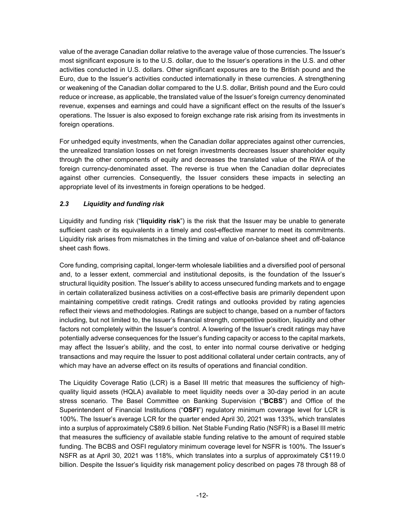value of the average Canadian dollar relative to the average value of those currencies. The Issuer's most significant exposure is to the U.S. dollar, due to the Issuer's operations in the U.S. and other activities conducted in U.S. dollars. Other significant exposures are to the British pound and the Euro, due to the Issuer's activities conducted internationally in these currencies. A strengthening or weakening of the Canadian dollar compared to the U.S. dollar, British pound and the Euro could reduce or increase, as applicable, the translated value of the Issuer's foreign currency denominated revenue, expenses and earnings and could have a significant effect on the results of the Issuer's operations. The Issuer is also exposed to foreign exchange rate risk arising from its investments in foreign operations.

For unhedged equity investments, when the Canadian dollar appreciates against other currencies, the unrealized translation losses on net foreign investments decreases Issuer shareholder equity through the other components of equity and decreases the translated value of the RWA of the foreign currency-denominated asset. The reverse is true when the Canadian dollar depreciates against other currencies. Consequently, the Issuer considers these impacts in selecting an appropriate level of its investments in foreign operations to be hedged.

### *2.3 Liquidity and funding risk*

Liquidity and funding risk ("**liquidity risk**") is the risk that the Issuer may be unable to generate sufficient cash or its equivalents in a timely and cost-effective manner to meet its commitments. Liquidity risk arises from mismatches in the timing and value of on-balance sheet and off-balance sheet cash flows.

Core funding, comprising capital, longer-term wholesale liabilities and a diversified pool of personal and, to a lesser extent, commercial and institutional deposits, is the foundation of the Issuer's structural liquidity position. The Issuer's ability to access unsecured funding markets and to engage in certain collateralized business activities on a cost-effective basis are primarily dependent upon maintaining competitive credit ratings. Credit ratings and outlooks provided by rating agencies reflect their views and methodologies. Ratings are subject to change, based on a number of factors including, but not limited to, the Issuer's financial strength, competitive position, liquidity and other factors not completely within the Issuer's control. A lowering of the Issuer's credit ratings may have potentially adverse consequences for the Issuer's funding capacity or access to the capital markets, may affect the Issuer's ability, and the cost, to enter into normal course derivative or hedging transactions and may require the Issuer to post additional collateral under certain contracts, any of which may have an adverse effect on its results of operations and financial condition.

The Liquidity Coverage Ratio (LCR) is a Basel III metric that measures the sufficiency of highquality liquid assets (HQLA) available to meet liquidity needs over a 30-day period in an acute stress scenario. The Basel Committee on Banking Supervision ("**BCBS**") and Office of the Superintendent of Financial Institutions ("**OSFI**") regulatory minimum coverage level for LCR is 100%. The Issuer's average LCR for the quarter ended April 30, 2021 was 133%, which translates into a surplus of approximately C\$89.6 billion. Net Stable Funding Ratio (NSFR) is a Basel III metric that measures the sufficiency of available stable funding relative to the amount of required stable funding. The BCBS and OSFI regulatory minimum coverage level for NSFR is 100%. The Issuer's NSFR as at April 30, 2021 was 118%, which translates into a surplus of approximately C\$119.0 billion. Despite the Issuer's liquidity risk management policy described on pages 78 through 88 of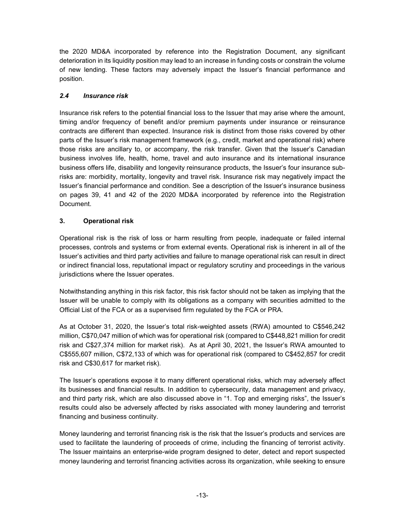the 2020 MD&A incorporated by reference into the Registration Document, any significant deterioration in its liquidity position may lead to an increase in funding costs or constrain the volume of new lending. These factors may adversely impact the Issuer's financial performance and position.

#### *2.4 Insurance risk*

Insurance risk refers to the potential financial loss to the Issuer that may arise where the amount, timing and/or frequency of benefit and/or premium payments under insurance or reinsurance contracts are different than expected. Insurance risk is distinct from those risks covered by other parts of the Issuer's risk management framework (e.g., credit, market and operational risk) where those risks are ancillary to, or accompany, the risk transfer. Given that the Issuer's Canadian business involves life, health, home, travel and auto insurance and its international insurance business offers life, disability and longevity reinsurance products, the Issuer's four insurance subrisks are: morbidity, mortality, longevity and travel risk. Insurance risk may negatively impact the Issuer's financial performance and condition. See a description of the Issuer's insurance business on pages 39, 41 and 42 of the 2020 MD&A incorporated by reference into the Registration Document.

### **3. Operational risk**

Operational risk is the risk of loss or harm resulting from people, inadequate or failed internal processes, controls and systems or from external events. Operational risk is inherent in all of the Issuer's activities and third party activities and failure to manage operational risk can result in direct or indirect financial loss, reputational impact or regulatory scrutiny and proceedings in the various jurisdictions where the Issuer operates.

Notwithstanding anything in this risk factor, this risk factor should not be taken as implying that the Issuer will be unable to comply with its obligations as a company with securities admitted to the Official List of the FCA or as a supervised firm regulated by the FCA or PRA.

As at October 31, 2020, the Issuer's total risk-weighted assets (RWA) amounted to C\$546,242 million, C\$70,047 million of which was for operational risk (compared to C\$448,821 million for credit risk and C\$27,374 million for market risk). As at April 30, 2021, the Issuer's RWA amounted to C\$555,607 million, C\$72,133 of which was for operational risk (compared to C\$452,857 for credit risk and C\$30,617 for market risk).

The Issuer's operations expose it to many different operational risks, which may adversely affect its businesses and financial results. In addition to cybersecurity, data management and privacy, and third party risk, which are also discussed above in "1. Top and emerging risks", the Issuer's results could also be adversely affected by risks associated with money laundering and terrorist financing and business continuity.

Money laundering and terrorist financing risk is the risk that the Issuer's products and services are used to facilitate the laundering of proceeds of crime, including the financing of terrorist activity. The Issuer maintains an enterprise-wide program designed to deter, detect and report suspected money laundering and terrorist financing activities across its organization, while seeking to ensure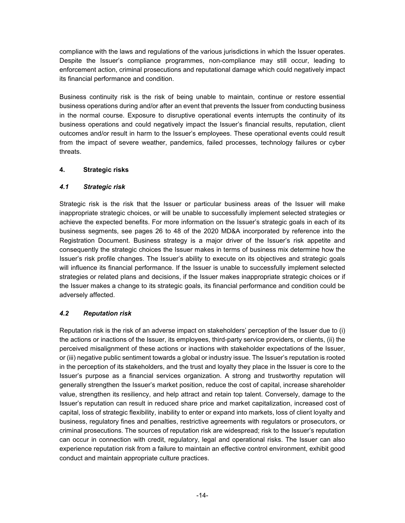compliance with the laws and regulations of the various jurisdictions in which the Issuer operates. Despite the Issuer's compliance programmes, non-compliance may still occur, leading to enforcement action, criminal prosecutions and reputational damage which could negatively impact its financial performance and condition.

Business continuity risk is the risk of being unable to maintain, continue or restore essential business operations during and/or after an event that prevents the Issuer from conducting business in the normal course. Exposure to disruptive operational events interrupts the continuity of its business operations and could negatively impact the Issuer's financial results, reputation, client outcomes and/or result in harm to the Issuer's employees. These operational events could result from the impact of severe weather, pandemics, failed processes, technology failures or cyber threats.

#### **4. Strategic risks**

#### *4.1 Strategic risk*

Strategic risk is the risk that the Issuer or particular business areas of the Issuer will make inappropriate strategic choices, or will be unable to successfully implement selected strategies or achieve the expected benefits. For more information on the Issuer's strategic goals in each of its business segments, see pages 26 to 48 of the 2020 MD&A incorporated by reference into the Registration Document. Business strategy is a major driver of the Issuer's risk appetite and consequently the strategic choices the Issuer makes in terms of business mix determine how the Issuer's risk profile changes. The Issuer's ability to execute on its objectives and strategic goals will influence its financial performance. If the Issuer is unable to successfully implement selected strategies or related plans and decisions, if the Issuer makes inappropriate strategic choices or if the Issuer makes a change to its strategic goals, its financial performance and condition could be adversely affected.

#### *4.2 Reputation risk*

Reputation risk is the risk of an adverse impact on stakeholders' perception of the Issuer due to (i) the actions or inactions of the Issuer, its employees, third-party service providers, or clients, (ii) the perceived misalignment of these actions or inactions with stakeholder expectations of the Issuer, or (iii) negative public sentiment towards a global or industry issue. The Issuer's reputation is rooted in the perception of its stakeholders, and the trust and loyalty they place in the Issuer is core to the Issuer's purpose as a financial services organization. A strong and trustworthy reputation will generally strengthen the Issuer's market position, reduce the cost of capital, increase shareholder value, strengthen its resiliency, and help attract and retain top talent. Conversely, damage to the Issuer's reputation can result in reduced share price and market capitalization, increased cost of capital, loss of strategic flexibility, inability to enter or expand into markets, loss of client loyalty and business, regulatory fines and penalties, restrictive agreements with regulators or prosecutors, or criminal prosecutions. The sources of reputation risk are widespread; risk to the Issuer's reputation can occur in connection with credit, regulatory, legal and operational risks. The Issuer can also experience reputation risk from a failure to maintain an effective control environment, exhibit good conduct and maintain appropriate culture practices.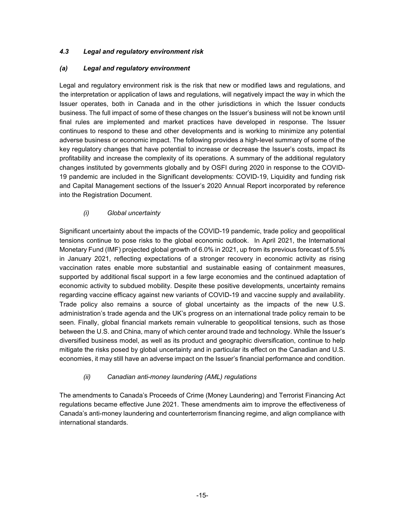#### *4.3 Legal and regulatory environment risk*

#### *(a) Legal and regulatory environment*

Legal and regulatory environment risk is the risk that new or modified laws and regulations, and the interpretation or application of laws and regulations, will negatively impact the way in which the Issuer operates, both in Canada and in the other jurisdictions in which the Issuer conducts business. The full impact of some of these changes on the Issuer's business will not be known until final rules are implemented and market practices have developed in response. The Issuer continues to respond to these and other developments and is working to minimize any potential adverse business or economic impact. The following provides a high-level summary of some of the key regulatory changes that have potential to increase or decrease the Issuer's costs, impact its profitability and increase the complexity of its operations. A summary of the additional regulatory changes instituted by governments globally and by OSFI during 2020 in response to the COVID-19 pandemic are included in the Significant developments: COVID-19, Liquidity and funding risk and Capital Management sections of the Issuer's 2020 Annual Report incorporated by reference into the Registration Document.

#### *(i) Global uncertainty*

Significant uncertainty about the impacts of the COVID-19 pandemic, trade policy and geopolitical tensions continue to pose risks to the global economic outlook. In April 2021, the International Monetary Fund (IMF) projected global growth of 6.0% in 2021, up from its previous forecast of 5.5% in January 2021, reflecting expectations of a stronger recovery in economic activity as rising vaccination rates enable more substantial and sustainable easing of containment measures, supported by additional fiscal support in a few large economies and the continued adaptation of economic activity to subdued mobility. Despite these positive developments, uncertainty remains regarding vaccine efficacy against new variants of COVID-19 and vaccine supply and availability. Trade policy also remains a source of global uncertainty as the impacts of the new U.S. administration's trade agenda and the UK's progress on an international trade policy remain to be seen. Finally, global financial markets remain vulnerable to geopolitical tensions, such as those between the U.S. and China, many of which center around trade and technology. While the Issuer's diversified business model, as well as its product and geographic diversification, continue to help mitigate the risks posed by global uncertainty and in particular its effect on the Canadian and U.S. economies, it may still have an adverse impact on the Issuer's financial performance and condition.

#### *(ii) Canadian anti-money laundering (AML) regulations*

The amendments to Canada's Proceeds of Crime (Money Laundering) and Terrorist Financing Act regulations became effective June 2021. These amendments aim to improve the effectiveness of Canada's anti-money laundering and counterterrorism financing regime, and align compliance with international standards.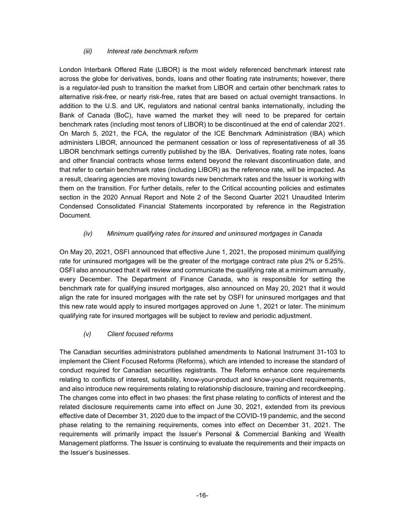#### *(iii) Interest rate benchmark reform*

London Interbank Offered Rate (LIBOR) is the most widely referenced benchmark interest rate across the globe for derivatives, bonds, loans and other floating rate instruments; however, there is a regulator-led push to transition the market from LIBOR and certain other benchmark rates to alternative risk-free, or nearly risk-free, rates that are based on actual overnight transactions. In addition to the U.S. and UK, regulators and national central banks internationally, including the Bank of Canada (BoC), have warned the market they will need to be prepared for certain benchmark rates (including most tenors of LIBOR) to be discontinued at the end of calendar 2021. On March 5, 2021, the FCA, the regulator of the ICE Benchmark Administration (IBA) which administers LIBOR, announced the permanent cessation or loss of representativeness of all 35 LIBOR benchmark settings currently published by the IBA. Derivatives, floating rate notes, loans and other financial contracts whose terms extend beyond the relevant discontinuation date, and that refer to certain benchmark rates (including LIBOR) as the reference rate, will be impacted. As a result, clearing agencies are moving towards new benchmark rates and the Issuer is working with them on the transition. For further details, refer to the Critical accounting policies and estimates section in the 2020 Annual Report and Note 2 of the Second Quarter 2021 Unaudited Interim Condensed Consolidated Financial Statements incorporated by reference in the Registration Document.

#### *(iv) Minimum qualifying rates for insured and uninsured mortgages in Canada*

On May 20, 2021, OSFI announced that effective June 1, 2021, the proposed minimum qualifying rate for uninsured mortgages will be the greater of the mortgage contract rate plus 2% or 5.25%. OSFI also announced that it will review and communicate the qualifying rate at a minimum annually, every December. The Department of Finance Canada, who is responsible for setting the benchmark rate for qualifying insured mortgages, also announced on May 20, 2021 that it would align the rate for insured mortgages with the rate set by OSFI for uninsured mortgages and that this new rate would apply to insured mortgages approved on June 1, 2021 or later. The minimum qualifying rate for insured mortgages will be subject to review and periodic adjustment.

#### *(v) Client focused reforms*

The Canadian securities administrators published amendments to National Instrument 31-103 to implement the Client Focused Reforms (Reforms), which are intended to increase the standard of conduct required for Canadian securities registrants. The Reforms enhance core requirements relating to conflicts of interest, suitability, know-your-product and know-your-client requirements, and also introduce new requirements relating to relationship disclosure, training and recordkeeping. The changes come into effect in two phases: the first phase relating to conflicts of interest and the related disclosure requirements came into effect on June 30, 2021, extended from its previous effective date of December 31, 2020 due to the impact of the COVID-19 pandemic, and the second phase relating to the remaining requirements, comes into effect on December 31, 2021. The requirements will primarily impact the Issuer's Personal & Commercial Banking and Wealth Management platforms. The Issuer is continuing to evaluate the requirements and their impacts on the Issuer's businesses.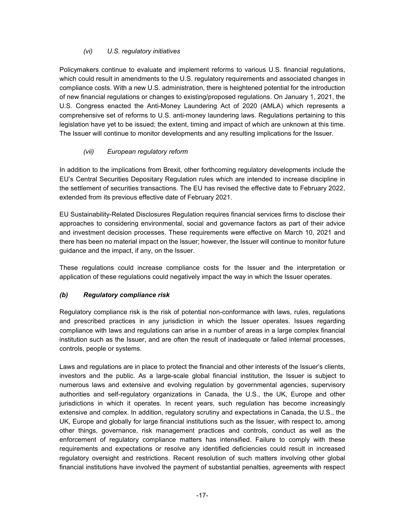#### *(vi) U.S. regulatory initiatives*

Policymakers continue to evaluate and implement reforms to various U.S. financial regulations, which could result in amendments to the U.S. regulatory requirements and associated changes in compliance costs. With a new U.S. administration, there is heightened potential for the introduction of new financial regulations or changes to existing/proposed regulations. On January 1, 2021, the U.S. Congress enacted the Anti-Money Laundering Act of 2020 (AMLA) which represents a comprehensive set of reforms to U.S. anti-money laundering laws. Regulations pertaining to this legislation have yet to be issued; the extent, timing and impact of which are unknown at this time. The Issuer will continue to monitor developments and any resulting implications for the Issuer.

#### *(vii) European regulatory reform*

In addition to the implications from Brexit, other forthcoming regulatory developments include the EU's Central Securities Depositary Regulation rules which are intended to increase discipline in the settlement of securities transactions. The EU has revised the effective date to February 2022, extended from its previous effective date of February 2021.

EU Sustainability-Related Disclosures Regulation requires financial services firms to disclose their approaches to considering environmental, social and governance factors as part of their advice and investment decision processes. These requirements were effective on March 10, 2021 and there has been no material impact on the Issuer; however, the Issuer will continue to monitor future guidance and the impact, if any, on the Issuer.

These regulations could increase compliance costs for the Issuer and the interpretation or application of these regulations could negatively impact the way in which the Issuer operates.

#### *(b) Regulatory compliance risk*

Regulatory compliance risk is the risk of potential non-conformance with laws, rules, regulations and prescribed practices in any jurisdiction in which the Issuer operates. Issues regarding compliance with laws and regulations can arise in a number of areas in a large complex financial institution such as the Issuer, and are often the result of inadequate or failed internal processes, controls, people or systems.

Laws and regulations are in place to protect the financial and other interests of the Issuer's clients, investors and the public. As a large-scale global financial institution, the Issuer is subject to numerous laws and extensive and evolving regulation by governmental agencies, supervisory authorities and self-regulatory organizations in Canada, the U.S., the UK, Europe and other jurisdictions in which it operates. In recent years, such regulation has become increasingly extensive and complex. In addition, regulatory scrutiny and expectations in Canada, the U.S., the UK, Europe and globally for large financial institutions such as the Issuer, with respect to, among other things, governance, risk management practices and controls, conduct as well as the enforcement of regulatory compliance matters has intensified. Failure to comply with these requirements and expectations or resolve any identified deficiencies could result in increased regulatory oversight and restrictions. Recent resolution of such matters involving other global financial institutions have involved the payment of substantial penalties, agreements with respect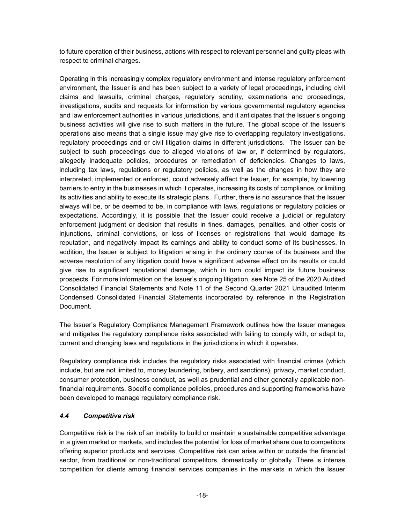to future operation of their business, actions with respect to relevant personnel and guilty pleas with respect to criminal charges.

Operating in this increasingly complex regulatory environment and intense regulatory enforcement environment, the Issuer is and has been subject to a variety of legal proceedings, including civil claims and lawsuits, criminal charges, regulatory scrutiny, examinations and proceedings, investigations, audits and requests for information by various governmental regulatory agencies and law enforcement authorities in various jurisdictions, and it anticipates that the Issuer's ongoing business activities will give rise to such matters in the future. The global scope of the Issuer's operations also means that a single issue may give rise to overlapping regulatory investigations, regulatory proceedings and or civil litigation claims in different jurisdictions. The Issuer can be subject to such proceedings due to alleged violations of law or, if determined by regulators, allegedly inadequate policies, procedures or remediation of deficiencies. Changes to laws, including tax laws, regulations or regulatory policies, as well as the changes in how they are interpreted, implemented or enforced, could adversely affect the Issuer, for example, by lowering barriers to entry in the businesses in which it operates, increasing its costs of compliance, or limiting its activities and ability to execute its strategic plans. Further, there is no assurance that the Issuer always will be, or be deemed to be, in compliance with laws, regulations or regulatory policies or expectations. Accordingly, it is possible that the Issuer could receive a judicial or regulatory enforcement judgment or decision that results in fines, damages, penalties, and other costs or injunctions, criminal convictions, or loss of licenses or registrations that would damage its reputation, and negatively impact its earnings and ability to conduct some of its businesses. In addition, the Issuer is subject to litigation arising in the ordinary course of its business and the adverse resolution of any litigation could have a significant adverse effect on its results or could give rise to significant reputational damage, which in turn could impact its future business prospects. For more information on the Issuer's ongoing litigation, see Note 25 of the 2020 Audited Consolidated Financial Statements and Note 11 of the Second Quarter 2021 Unaudited Interim Condensed Consolidated Financial Statements incorporated by reference in the Registration Document.

The Issuer's Regulatory Compliance Management Framework outlines how the Issuer manages and mitigates the regulatory compliance risks associated with failing to comply with, or adapt to, current and changing laws and regulations in the jurisdictions in which it operates.

Regulatory compliance risk includes the regulatory risks associated with financial crimes (which include, but are not limited to, money laundering, bribery, and sanctions), privacy, market conduct, consumer protection, business conduct, as well as prudential and other generally applicable nonfinancial requirements. Specific compliance policies, procedures and supporting frameworks have been developed to manage regulatory compliance risk.

#### *4.4 Competitive risk*

Competitive risk is the risk of an inability to build or maintain a sustainable competitive advantage in a given market or markets, and includes the potential for loss of market share due to competitors offering superior products and services. Competitive risk can arise within or outside the financial sector, from traditional or non-traditional competitors, domestically or globally. There is intense competition for clients among financial services companies in the markets in which the Issuer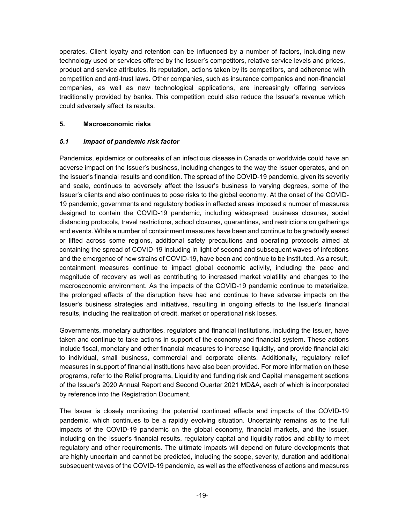operates. Client loyalty and retention can be influenced by a number of factors, including new technology used or services offered by the Issuer's competitors, relative service levels and prices, product and service attributes, its reputation, actions taken by its competitors, and adherence with competition and anti-trust laws. Other companies, such as insurance companies and non-financial companies, as well as new technological applications, are increasingly offering services traditionally provided by banks. This competition could also reduce the Issuer's revenue which could adversely affect its results.

#### **5. Macroeconomic risks**

#### *5.1 Impact of pandemic risk factor*

Pandemics, epidemics or outbreaks of an infectious disease in Canada or worldwide could have an adverse impact on the Issuer's business, including changes to the way the Issuer operates, and on the Issuer's financial results and condition. The spread of the COVID-19 pandemic, given its severity and scale, continues to adversely affect the Issuer's business to varying degrees, some of the Issuer's clients and also continues to pose risks to the global economy. At the onset of the COVID-19 pandemic, governments and regulatory bodies in affected areas imposed a number of measures designed to contain the COVID-19 pandemic, including widespread business closures, social distancing protocols, travel restrictions, school closures, quarantines, and restrictions on gatherings and events. While a number of containment measures have been and continue to be gradually eased or lifted across some regions, additional safety precautions and operating protocols aimed at containing the spread of COVID-19 including in light of second and subsequent waves of infections and the emergence of new strains of COVID-19, have been and continue to be instituted. As a result, containment measures continue to impact global economic activity, including the pace and magnitude of recovery as well as contributing to increased market volatility and changes to the macroeconomic environment. As the impacts of the COVID-19 pandemic continue to materialize, the prolonged effects of the disruption have had and continue to have adverse impacts on the Issuer's business strategies and initiatives, resulting in ongoing effects to the Issuer's financial results, including the realization of credit, market or operational risk losses.

Governments, monetary authorities, regulators and financial institutions, including the Issuer, have taken and continue to take actions in support of the economy and financial system. These actions include fiscal, monetary and other financial measures to increase liquidity, and provide financial aid to individual, small business, commercial and corporate clients. Additionally, regulatory relief measures in support of financial institutions have also been provided. For more information on these programs, refer to the Relief programs, Liquidity and funding risk and Capital management sections of the Issuer's 2020 Annual Report and Second Quarter 2021 MD&A, each of which is incorporated by reference into the Registration Document.

The Issuer is closely monitoring the potential continued effects and impacts of the COVID-19 pandemic, which continues to be a rapidly evolving situation. Uncertainty remains as to the full impacts of the COVID-19 pandemic on the global economy, financial markets, and the Issuer, including on the Issuer's financial results, regulatory capital and liquidity ratios and ability to meet regulatory and other requirements. The ultimate impacts will depend on future developments that are highly uncertain and cannot be predicted, including the scope, severity, duration and additional subsequent waves of the COVID-19 pandemic, as well as the effectiveness of actions and measures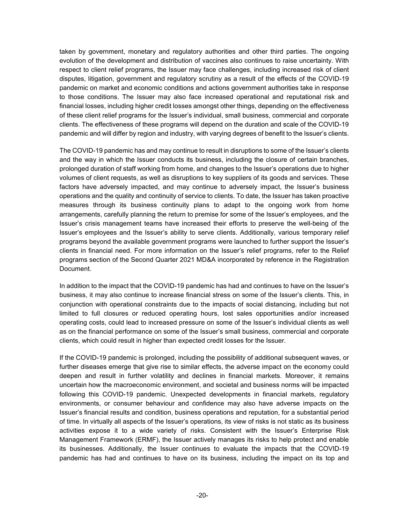taken by government, monetary and regulatory authorities and other third parties. The ongoing evolution of the development and distribution of vaccines also continues to raise uncertainty. With respect to client relief programs, the Issuer may face challenges, including increased risk of client disputes, litigation, government and regulatory scrutiny as a result of the effects of the COVID-19 pandemic on market and economic conditions and actions government authorities take in response to those conditions. The Issuer may also face increased operational and reputational risk and financial losses, including higher credit losses amongst other things, depending on the effectiveness of these client relief programs for the Issuer's individual, small business, commercial and corporate clients. The effectiveness of these programs will depend on the duration and scale of the COVID-19 pandemic and will differ by region and industry, with varying degrees of benefit to the Issuer's clients.

The COVID-19 pandemic has and may continue to result in disruptions to some of the Issuer's clients and the way in which the Issuer conducts its business, including the closure of certain branches, prolonged duration of staff working from home, and changes to the Issuer's operations due to higher volumes of client requests, as well as disruptions to key suppliers of its goods and services. These factors have adversely impacted, and may continue to adversely impact, the Issuer's business operations and the quality and continuity of service to clients. To date, the Issuer has taken proactive measures through its business continuity plans to adapt to the ongoing work from home arrangements, carefully planning the return to premise for some of the Issuer's employees, and the Issuer's crisis management teams have increased their efforts to preserve the well-being of the Issuer's employees and the Issuer's ability to serve clients. Additionally, various temporary relief programs beyond the available government programs were launched to further support the Issuer's clients in financial need. For more information on the Issuer's relief programs, refer to the Relief programs section of the Second Quarter 2021 MD&A incorporated by reference in the Registration Document.

In addition to the impact that the COVID-19 pandemic has had and continues to have on the Issuer's business, it may also continue to increase financial stress on some of the Issuer's clients. This, in conjunction with operational constraints due to the impacts of social distancing, including but not limited to full closures or reduced operating hours, lost sales opportunities and/or increased operating costs, could lead to increased pressure on some of the Issuer's individual clients as well as on the financial performance on some of the Issuer's small business, commercial and corporate clients, which could result in higher than expected credit losses for the Issuer.

If the COVID-19 pandemic is prolonged, including the possibility of additional subsequent waves, or further diseases emerge that give rise to similar effects, the adverse impact on the economy could deepen and result in further volatility and declines in financial markets. Moreover, it remains uncertain how the macroeconomic environment, and societal and business norms will be impacted following this COVID-19 pandemic. Unexpected developments in financial markets, regulatory environments, or consumer behaviour and confidence may also have adverse impacts on the Issuer's financial results and condition, business operations and reputation, for a substantial period of time. In virtually all aspects of the Issuer's operations, its view of risks is not static as its business activities expose it to a wide variety of risks. Consistent with the Issuer's Enterprise Risk Management Framework (ERMF), the Issuer actively manages its risks to help protect and enable its businesses. Additionally, the Issuer continues to evaluate the impacts that the COVID-19 pandemic has had and continues to have on its business, including the impact on its top and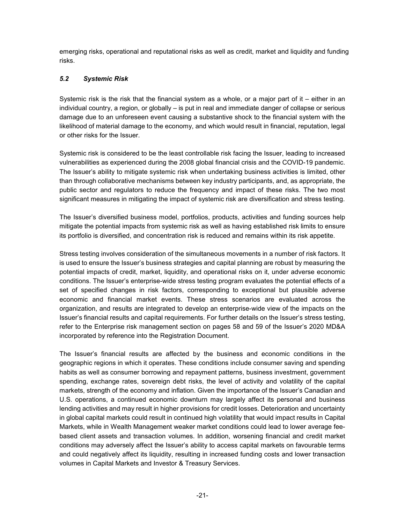emerging risks, operational and reputational risks as well as credit, market and liquidity and funding risks.

#### *5.2 Systemic Risk*

Systemic risk is the risk that the financial system as a whole, or a major part of it – either in an individual country, a region, or globally – is put in real and immediate danger of collapse or serious damage due to an unforeseen event causing a substantive shock to the financial system with the likelihood of material damage to the economy, and which would result in financial, reputation, legal or other risks for the Issuer.

Systemic risk is considered to be the least controllable risk facing the Issuer, leading to increased vulnerabilities as experienced during the 2008 global financial crisis and the COVID-19 pandemic. The Issuer's ability to mitigate systemic risk when undertaking business activities is limited, other than through collaborative mechanisms between key industry participants, and, as appropriate, the public sector and regulators to reduce the frequency and impact of these risks. The two most significant measures in mitigating the impact of systemic risk are diversification and stress testing.

The Issuer's diversified business model, portfolios, products, activities and funding sources help mitigate the potential impacts from systemic risk as well as having established risk limits to ensure its portfolio is diversified, and concentration risk is reduced and remains within its risk appetite.

Stress testing involves consideration of the simultaneous movements in a number of risk factors. It is used to ensure the Issuer's business strategies and capital planning are robust by measuring the potential impacts of credit, market, liquidity, and operational risks on it, under adverse economic conditions. The Issuer's enterprise-wide stress testing program evaluates the potential effects of a set of specified changes in risk factors, corresponding to exceptional but plausible adverse economic and financial market events. These stress scenarios are evaluated across the organization, and results are integrated to develop an enterprise-wide view of the impacts on the Issuer's financial results and capital requirements. For further details on the Issuer's stress testing, refer to the Enterprise risk management section on pages 58 and 59 of the Issuer's 2020 MD&A incorporated by reference into the Registration Document.

The Issuer's financial results are affected by the business and economic conditions in the geographic regions in which it operates. These conditions include consumer saving and spending habits as well as consumer borrowing and repayment patterns, business investment, government spending, exchange rates, sovereign debt risks, the level of activity and volatility of the capital markets, strength of the economy and inflation. Given the importance of the Issuer's Canadian and U.S. operations, a continued economic downturn may largely affect its personal and business lending activities and may result in higher provisions for credit losses. Deterioration and uncertainty in global capital markets could result in continued high volatility that would impact results in Capital Markets, while in Wealth Management weaker market conditions could lead to lower average feebased client assets and transaction volumes. In addition, worsening financial and credit market conditions may adversely affect the Issuer's ability to access capital markets on favourable terms and could negatively affect its liquidity, resulting in increased funding costs and lower transaction volumes in Capital Markets and Investor & Treasury Services.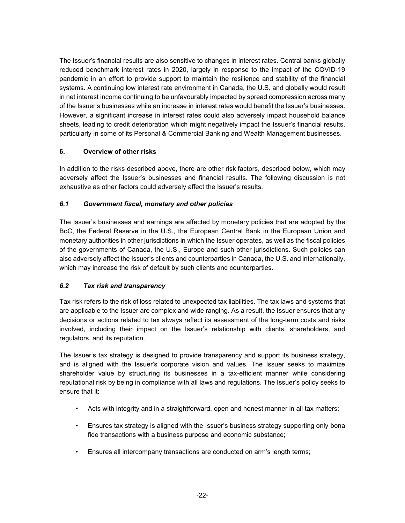The Issuer's financial results are also sensitive to changes in interest rates. Central banks globally reduced benchmark interest rates in 2020, largely in response to the impact of the COVID-19 pandemic in an effort to provide support to maintain the resilience and stability of the financial systems. A continuing low interest rate environment in Canada, the U.S. and globally would result in net interest income continuing to be unfavourably impacted by spread compression across many of the Issuer's businesses while an increase in interest rates would benefit the Issuer's businesses. However, a significant increase in interest rates could also adversely impact household balance sheets, leading to credit deterioration which might negatively impact the Issuer's financial results, particularly in some of its Personal & Commercial Banking and Wealth Management businesses.

#### **6. Overview of other risks**

In addition to the risks described above, there are other risk factors, described below, which may adversely affect the Issuer's businesses and financial results. The following discussion is not exhaustive as other factors could adversely affect the Issuer's results.

### *6.1 Government fiscal, monetary and other policies*

The Issuer's businesses and earnings are affected by monetary policies that are adopted by the BoC, the Federal Reserve in the U.S., the European Central Bank in the European Union and monetary authorities in other jurisdictions in which the Issuer operates, as well as the fiscal policies of the governments of Canada, the U.S., Europe and such other jurisdictions. Such policies can also adversely affect the Issuer's clients and counterparties in Canada, the U.S. and internationally, which may increase the risk of default by such clients and counterparties.

# *6.2 Tax risk and transparency*

Tax risk refers to the risk of loss related to unexpected tax liabilities. The tax laws and systems that are applicable to the Issuer are complex and wide ranging. As a result, the Issuer ensures that any decisions or actions related to tax always reflect its assessment of the long-term costs and risks involved, including their impact on the Issuer's relationship with clients, shareholders, and regulators, and its reputation.

The Issuer's tax strategy is designed to provide transparency and support its business strategy, and is aligned with the Issuer's corporate vision and values. The Issuer seeks to maximize shareholder value by structuring its businesses in a tax-efficient manner while considering reputational risk by being in compliance with all laws and regulations. The Issuer's policy seeks to ensure that it:

- Acts with integrity and in a straightforward, open and honest manner in all tax matters;
- Ensures tax strategy is aligned with the Issuer's business strategy supporting only bona fide transactions with a business purpose and economic substance;
- Ensures all intercompany transactions are conducted on arm's length terms;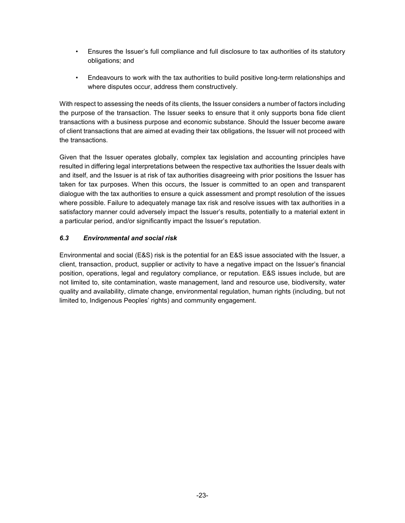- Ensures the Issuer's full compliance and full disclosure to tax authorities of its statutory obligations; and
- Endeavours to work with the tax authorities to build positive long-term relationships and where disputes occur, address them constructively.

With respect to assessing the needs of its clients, the Issuer considers a number of factors including the purpose of the transaction. The Issuer seeks to ensure that it only supports bona fide client transactions with a business purpose and economic substance. Should the Issuer become aware of client transactions that are aimed at evading their tax obligations, the Issuer will not proceed with the transactions.

Given that the Issuer operates globally, complex tax legislation and accounting principles have resulted in differing legal interpretations between the respective tax authorities the Issuer deals with and itself, and the Issuer is at risk of tax authorities disagreeing with prior positions the Issuer has taken for tax purposes. When this occurs, the Issuer is committed to an open and transparent dialogue with the tax authorities to ensure a quick assessment and prompt resolution of the issues where possible. Failure to adequately manage tax risk and resolve issues with tax authorities in a satisfactory manner could adversely impact the Issuer's results, potentially to a material extent in a particular period, and/or significantly impact the Issuer's reputation.

#### *6.3 Environmental and social risk*

Environmental and social (E&S) risk is the potential for an E&S issue associated with the Issuer, a client, transaction, product, supplier or activity to have a negative impact on the Issuer's financial position, operations, legal and regulatory compliance, or reputation. E&S issues include, but are not limited to, site contamination, waste management, land and resource use, biodiversity, water quality and availability, climate change, environmental regulation, human rights (including, but not limited to, Indigenous Peoples' rights) and community engagement.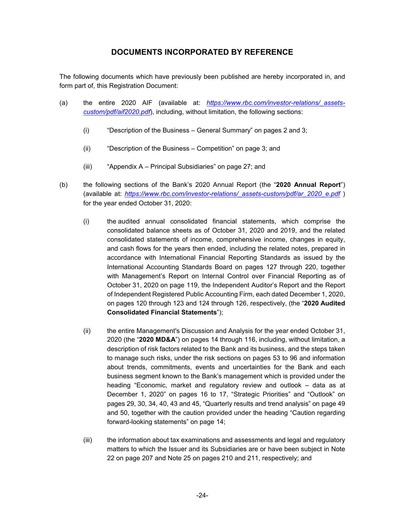# **DOCUMENTS INCORPORATED BY REFERENCE**

The following documents which have previously been published are hereby incorporated in, and form part of, this Registration Document:

- (a) the entire 2020 AIF (available at: *https://www.rbc.com/investor-relations/\_assetscustom/pdf/aif2020.pdf*), including, without limitation, the following sections:
	- (i) "Description of the Business General Summary" on pages 2 and 3;
	- (ii) "Description of the Business Competition" on page 3; and
	- (iii) "Appendix A Principal Subsidiaries" on page 27; and
- (b) the following sections of the Bank's 2020 Annual Report (the "**2020 Annual Report**") (available at: *https://www.rbc.com/investor-relations/\_assets-custom/pdf/ar\_2020\_e.pdf* ) for the year ended October 31, 2020:
	- (i) the audited annual consolidated financial statements, which comprise the consolidated balance sheets as of October 31, 2020 and 2019, and the related consolidated statements of income, comprehensive income, changes in equity, and cash flows for the years then ended, including the related notes, prepared in accordance with International Financial Reporting Standards as issued by the International Accounting Standards Board on pages 127 through 220, together with Management's Report on Internal Control over Financial Reporting as of October 31, 2020 on page 119, the Independent Auditor's Report and the Report of Independent Registered Public Accounting Firm, each dated December 1, 2020, on pages 120 through 123 and 124 through 126, respectively, (the "**2020 Audited Consolidated Financial Statements**");
	- (ii) the entire Management's Discussion and Analysis for the year ended October 31, 2020 (the "**2020 MD&A**") on pages 14 through 116, including, without limitation, a description of risk factors related to the Bank and its business, and the steps taken to manage such risks, under the risk sections on pages 53 to 96 and information about trends, commitments, events and uncertainties for the Bank and each business segment known to the Bank's management which is provided under the heading "Economic, market and regulatory review and outlook – data as at December 1, 2020" on pages 16 to 17, "Strategic Priorities" and "Outlook" on pages 29, 30, 34, 40, 43 and 45, "Quarterly results and trend analysis" on page 49 and 50, together with the caution provided under the heading "Caution regarding forward-looking statements" on page 14;
	- (iii) the information about tax examinations and assessments and legal and regulatory matters to which the Issuer and its Subsidiaries are or have been subject in Note 22 on page 207 and Note 25 on pages 210 and 211, respectively; and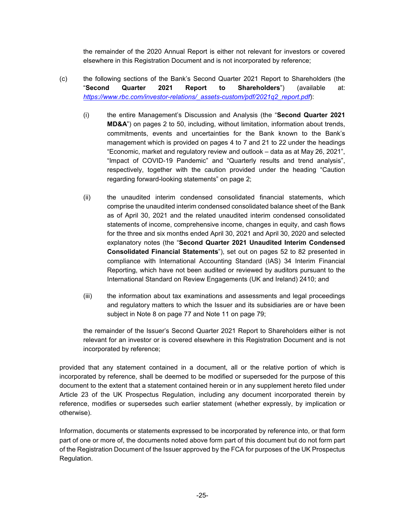the remainder of the 2020 Annual Report is either not relevant for investors or covered elsewhere in this Registration Document and is not incorporated by reference;

- (c) the following sections of the Bank's Second Quarter 2021 Report to Shareholders (the "**Second Quarter 2021 Report to Shareholders**") (available at: *https://www.rbc.com/investor-relations/\_assets-custom/pdf/2021q2\_report.pdf*):
	- (i) the entire Management's Discussion and Analysis (the "**Second Quarter 2021 MD&A**") on pages 2 to 50, including, without limitation, information about trends, commitments, events and uncertainties for the Bank known to the Bank's management which is provided on pages 4 to 7 and 21 to 22 under the headings "Economic, market and regulatory review and outlook – data as at May 26, 2021", "Impact of COVID-19 Pandemic" and "Quarterly results and trend analysis", respectively, together with the caution provided under the heading "Caution regarding forward-looking statements" on page 2;
	- (ii) the unaudited interim condensed consolidated financial statements, which comprise the unaudited interim condensed consolidated balance sheet of the Bank as of April 30, 2021 and the related unaudited interim condensed consolidated statements of income, comprehensive income, changes in equity, and cash flows for the three and six months ended April 30, 2021 and April 30, 2020 and selected explanatory notes (the "**Second Quarter 2021 Unaudited Interim Condensed Consolidated Financial Statements**"), set out on pages 52 to 82 presented in compliance with International Accounting Standard (IAS) 34 Interim Financial Reporting, which have not been audited or reviewed by auditors pursuant to the International Standard on Review Engagements (UK and Ireland) 2410; and
	- (iii) the information about tax examinations and assessments and legal proceedings and regulatory matters to which the Issuer and its subsidiaries are or have been subject in Note 8 on page 77 and Note 11 on page 79;

the remainder of the Issuer's Second Quarter 2021 Report to Shareholders either is not relevant for an investor or is covered elsewhere in this Registration Document and is not incorporated by reference;

provided that any statement contained in a document, all or the relative portion of which is incorporated by reference, shall be deemed to be modified or superseded for the purpose of this document to the extent that a statement contained herein or in any supplement hereto filed under Article 23 of the UK Prospectus Regulation, including any document incorporated therein by reference, modifies or supersedes such earlier statement (whether expressly, by implication or otherwise).

Information, documents or statements expressed to be incorporated by reference into, or that form part of one or more of, the documents noted above form part of this document but do not form part of the Registration Document of the Issuer approved by the FCA for purposes of the UK Prospectus Regulation.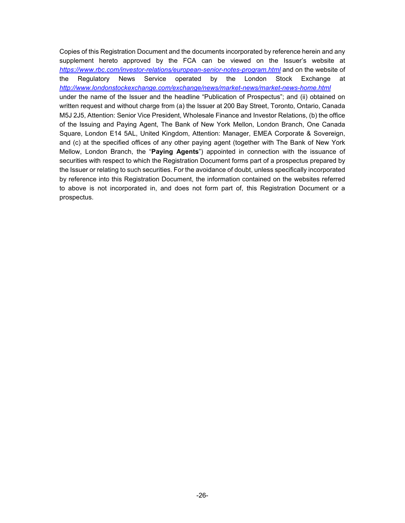Copies of this Registration Document and the documents incorporated by reference herein and any supplement hereto approved by the FCA can be viewed on the Issuer's website at *https://www.rbc.com/investor-relations/european-senior-notes-program.html* and on the website of the Regulatory News Service operated by the London Stock Exchange at *http://www.londonstockexchange.com/exchange/news/market-news/market-news-home.html* under the name of the Issuer and the headline "Publication of Prospectus"; and (ii) obtained on written request and without charge from (a) the Issuer at 200 Bay Street, Toronto, Ontario, Canada M5J 2J5, Attention: Senior Vice President, Wholesale Finance and Investor Relations, (b) the office of the Issuing and Paying Agent, The Bank of New York Mellon, London Branch, One Canada Square, London E14 5AL, United Kingdom, Attention: Manager, EMEA Corporate & Sovereign, and (c) at the specified offices of any other paying agent (together with The Bank of New York Mellow, London Branch, the "**Paying Agents**") appointed in connection with the issuance of securities with respect to which the Registration Document forms part of a prospectus prepared by the Issuer or relating to such securities. For the avoidance of doubt, unless specifically incorporated by reference into this Registration Document, the information contained on the websites referred to above is not incorporated in, and does not form part of, this Registration Document or a prospectus.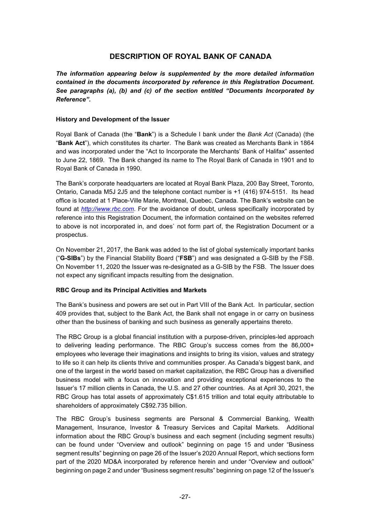# **DESCRIPTION OF ROYAL BANK OF CANADA**

*The information appearing below is supplemented by the more detailed information contained in the documents incorporated by reference in this Registration Document. See paragraphs (a), (b) and (c) of the section entitled "Documents Incorporated by Reference".*

#### **History and Development of the Issuer**

Royal Bank of Canada (the "**Bank**") is a Schedule I bank under the *Bank Act* (Canada) (the "**Bank Act**"), which constitutes its charter. The Bank was created as Merchants Bank in 1864 and was incorporated under the "Act to Incorporate the Merchants' Bank of Halifax" assented to June 22, 1869. The Bank changed its name to The Royal Bank of Canada in 1901 and to Royal Bank of Canada in 1990.

The Bank's corporate headquarters are located at Royal Bank Plaza, 200 Bay Street, Toronto, Ontario, Canada M5J 2J5 and the telephone contact number is +1 (416) 974-5151. Its head office is located at 1 Place-Ville Marie, Montreal, Quebec, Canada. The Bank's website can be found at *http://www.rbc.com*. For the avoidance of doubt, unless specifically incorporated by reference into this Registration Document, the information contained on the websites referred to above is not incorporated in, and does` not form part of, the Registration Document or a prospectus.

On November 21, 2017, the Bank was added to the list of global systemically important banks ("**G-SIBs**") by the Financial Stability Board ("**FSB**") and was designated a G-SIB by the FSB. On November 11, 2020 the Issuer was re-designated as a G-SIB by the FSB. The Issuer does not expect any significant impacts resulting from the designation.

#### **RBC Group and its Principal Activities and Markets**

The Bank's business and powers are set out in Part VIII of the Bank Act. In particular, section 409 provides that, subject to the Bank Act, the Bank shall not engage in or carry on business other than the business of banking and such business as generally appertains thereto.

The RBC Group is a global financial institution with a purpose-driven, principles-led approach to delivering leading performance. The RBC Group's success comes from the 86,000+ employees who leverage their imaginations and insights to bring its vision, values and strategy to life so it can help its clients thrive and communities prosper. As Canada's biggest bank, and one of the largest in the world based on market capitalization, the RBC Group has a diversified business model with a focus on innovation and providing exceptional experiences to the Issuer's 17 million clients in Canada, the U.S. and 27 other countries. As at April 30, 2021, the RBC Group has total assets of approximately C\$1.615 trillion and total equity attributable to shareholders of approximately C\$92.735 billion.

The RBC Group's business segments are Personal & Commercial Banking, Wealth Management, Insurance, Investor & Treasury Services and Capital Markets. Additional information about the RBC Group's business and each segment (including segment results) can be found under "Overview and outlook" beginning on page 15 and under "Business segment results" beginning on page 26 of the Issuer's 2020 Annual Report, which sections form part of the 2020 MD&A incorporated by reference herein and under "Overview and outlook" beginning on page 2 and under "Business segment results" beginning on page 12 of the Issuer's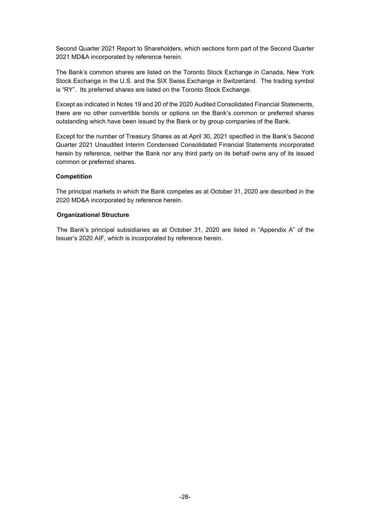Second Quarter 2021 Report to Shareholders, which sections form part of the Second Quarter 2021 MD&A incorporated by reference herein.

The Bank's common shares are listed on the Toronto Stock Exchange in Canada, New York Stock Exchange in the U.S. and the SIX Swiss Exchange in Switzerland. The trading symbol is "RY". Its preferred shares are listed on the Toronto Stock Exchange.

Except as indicated in Notes 19 and 20 of the 2020 Audited Consolidated Financial Statements, there are no other convertible bonds or options on the Bank's common or preferred shares outstanding which have been issued by the Bank or by group companies of the Bank.

Except for the number of Treasury Shares as at April 30, 2021 specified in the Bank's Second Quarter 2021 Unaudited Interim Condensed Consolidated Financial Statements incorporated herein by reference, neither the Bank nor any third party on its behalf owns any of its issued common or preferred shares.

#### **Competition**

The principal markets in which the Bank competes as at October 31, 2020 are described in the 2020 MD&A incorporated by reference herein.

#### **Organizational Structure**

The Bank's principal subsidiaries as at October 31, 2020 are listed in "Appendix A" of the Issuer's 2020 AIF, which is incorporated by reference herein.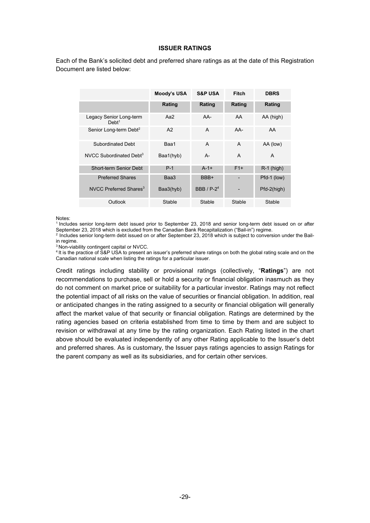#### **ISSUER RATINGS**

Each of the Bank's solicited debt and preferred share ratings as at the date of this Registration Document are listed below:

|                                              | Moody's USA | <b>S&amp;P USA</b>            | Fitch  | <b>DBRS</b>  |
|----------------------------------------------|-------------|-------------------------------|--------|--------------|
|                                              | Rating      | Rating                        | Rating | Rating       |
| Legacy Senior Long-term<br>Debt <sup>1</sup> | Aa $2$      | $AA-$                         | AA     | AA (high)    |
| Senior Long-term Debt <sup>2</sup>           | A2          | $\overline{A}$                | $AA-$  | AA           |
| Subordinated Debt                            | Baa1        | $\overline{A}$                | A      | AA (low)     |
| NVCC Subordinated Debt <sup>3</sup>          | Baa1(hyb)   | $A -$                         | A      | A            |
| Short-term Senior Debt                       | $P-1$       | $A - 1 +$                     | $F1+$  | $R-1$ (high) |
| <b>Preferred Shares</b>                      | Baa3        | BBB+                          |        | Pfd-1 (low)  |
| NVCC Preferred Shares <sup>3</sup>           | Baa3(hyb)   | <b>BBB</b> / P-2 <sup>4</sup> |        | Pfd-2(high)  |
| Outlook                                      | Stable      | Stable                        | Stable | Stable       |

Notes:

<sup>1</sup> Includes senior long-term debt issued prior to September 23, 2018 and senior long-term debt issued on or after September 23, 2018 which is excluded from the Canadian Bank Recapitalization ("Bail-in") regime.

<sup>2</sup> Includes senior long-term debt issued on or after September 23, 2018 which is subject to conversion under the Bailin regime.

<sup>3</sup> Non-viability contingent capital or NVCC.

<sup>4</sup> It is the practice of S&P USA to present an issuer's preferred share ratings on both the global rating scale and on the Canadian national scale when listing the ratings for a particular issuer.

Credit ratings including stability or provisional ratings (collectively, "**Ratings**") are not recommendations to purchase, sell or hold a security or financial obligation inasmuch as they do not comment on market price or suitability for a particular investor. Ratings may not reflect the potential impact of all risks on the value of securities or financial obligation. In addition, real or anticipated changes in the rating assigned to a security or financial obligation will generally affect the market value of that security or financial obligation. Ratings are determined by the rating agencies based on criteria established from time to time by them and are subject to revision or withdrawal at any time by the rating organization. Each Rating listed in the chart above should be evaluated independently of any other Rating applicable to the Issuer's debt and preferred shares. As is customary, the Issuer pays ratings agencies to assign Ratings for the parent company as well as its subsidiaries, and for certain other services.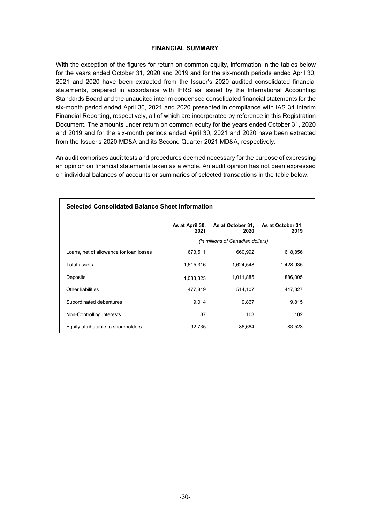#### **FINANCIAL SUMMARY**

With the exception of the figures for return on common equity, information in the tables below for the years ended October 31, 2020 and 2019 and for the six-month periods ended April 30, 2021 and 2020 have been extracted from the Issuer's 2020 audited consolidated financial statements, prepared in accordance with IFRS as issued by the International Accounting Standards Board and the unaudited interim condensed consolidated financial statements for the six-month period ended April 30, 2021 and 2020 presented in compliance with IAS 34 Interim Financial Reporting, respectively, all of which are incorporated by reference in this Registration Document. The amounts under return on common equity for the years ended October 31, 2020 and 2019 and for the six-month periods ended April 30, 2021 and 2020 have been extracted from the Issuer's 2020 MD&A and its Second Quarter 2021 MD&A, respectively.

An audit comprises audit tests and procedures deemed necessary for the purpose of expressing an opinion on financial statements taken as a whole. An audit opinion has not been expressed on individual balances of accounts or summaries of selected transactions in the table below.

| <b>Selected Consolidated Balance Sheet Information</b> |           |                                           |                           |  |  |
|--------------------------------------------------------|-----------|-------------------------------------------|---------------------------|--|--|
|                                                        | 2021      | As at April 30, As at October 31,<br>2020 | As at October 31,<br>2019 |  |  |
|                                                        |           | (in millions of Canadian dollars)         |                           |  |  |
| Loans, net of allowance for loan losses                | 673,511   | 660,992                                   | 618,856                   |  |  |
| Total assets                                           | 1,615,316 | 1,624,548                                 | 1,428,935                 |  |  |
| Deposits                                               | 1,033,323 | 1,011,885                                 | 886,005                   |  |  |
| Other liabilities                                      | 477,819   | 514,107                                   | 447,827                   |  |  |
| Subordinated debentures                                | 9,014     | 9,867                                     | 9,815                     |  |  |
| Non-Controlling interests                              | 87        | 103                                       | 102                       |  |  |
| Equity attributable to shareholders                    | 92.735    | 86.664                                    | 83,523                    |  |  |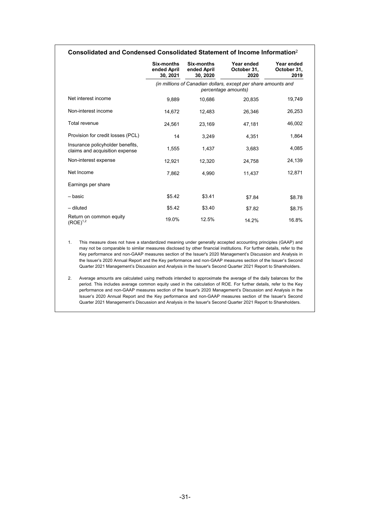#### **Consolidated and Condensed Consolidated Statement of Income Information**<sup>2</sup>

|                                                                    | Six-months<br>ended April<br>30, 2021 | Six-months<br>ended April<br>30, 2020 | Year ended<br>October 31,<br>2020                                                     | Year ended<br>October 31,<br>2019 |
|--------------------------------------------------------------------|---------------------------------------|---------------------------------------|---------------------------------------------------------------------------------------|-----------------------------------|
|                                                                    |                                       |                                       | (in millions of Canadian dollars, except per share amounts and<br>percentage amounts) |                                   |
| Net interest income                                                | 9,889                                 | 10,686                                | 20,835                                                                                | 19,749                            |
| Non-interest income                                                | 14,672                                | 12,483                                | 26,346                                                                                | 26,253                            |
| Total revenue                                                      | 24,561                                | 23,169                                | 47,181                                                                                | 46,002                            |
| Provision for credit losses (PCL)                                  | 14                                    | 3,249                                 | 4,351                                                                                 | 1,864                             |
| Insurance policyholder benefits,<br>claims and acquisition expense | 1,555                                 | 1,437                                 | 3,683                                                                                 | 4,085                             |
| Non-interest expense                                               | 12,921                                | 12,320                                | 24,758                                                                                | 24,139                            |
| Net Income                                                         | 7,862                                 | 4,990                                 | 11,437                                                                                | 12,871                            |
| Earnings per share                                                 |                                       |                                       |                                                                                       |                                   |
| - basic                                                            | \$5.42                                | \$3.41                                | \$7.84                                                                                | \$8.78                            |
| - diluted                                                          | \$5.42                                | \$3.40                                | \$7.82                                                                                | \$8.75                            |
| Return on common equity<br>$(ROE)^{1,2}$                           | 19.0%                                 | 12.5%                                 | 14.2%                                                                                 | 16.8%                             |

1. This measure does not have a standardized meaning under generally accepted accounting principles (GAAP) and may not be comparable to similar measures disclosed by other financial institutions. For further details, refer to the Key performance and non-GAAP measures section of the Issuer's 2020 Management's Discussion and Analysis in the Issuer's 2020 Annual Report and the Key performance and non-GAAP measures section of the Issuer's Second Quarter 2021 Management's Discussion and Analysis in the Issuer's Second Quarter 2021 Report to Shareholders.

2. Average amounts are calculated using methods intended to approximate the average of the daily balances for the period. This includes average common equity used in the calculation of ROE. For further details, refer to the Key performance and non-GAAP measures section of the Issuer's 2020 Management's Discussion and Analysis in the Issuer's 2020 Annual Report and the Key performance and non-GAAP measures section of the Issuer's Second Quarter 2021 Management's Discussion and Analysis in the Issuer's Second Quarter 2021 Report to Shareholders.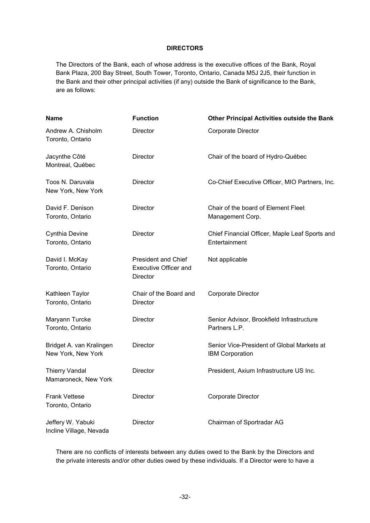#### **DIRECTORS**

The Directors of the Bank, each of whose address is the executive offices of the Bank, Royal Bank Plaza, 200 Bay Street, South Tower, Toronto, Ontario, Canada M5J 2J5, their function in the Bank and their other principal activities (if any) outside the Bank of significance to the Bank, are as follows:

| <b>Name</b>                                    | <b>Function</b>                                                        | <b>Other Principal Activities outside the Bank</b>                   |
|------------------------------------------------|------------------------------------------------------------------------|----------------------------------------------------------------------|
| Andrew A. Chisholm<br>Toronto, Ontario         | Director                                                               | Corporate Director                                                   |
| Jacynthe Côté<br>Montreal, Québec              | Director                                                               | Chair of the board of Hydro-Québec                                   |
| Toos N. Daruvala<br>New York, New York         | <b>Director</b>                                                        | Co-Chief Executive Officer, MIO Partners, Inc.                       |
| David F. Denison<br>Toronto, Ontario           | Director                                                               | Chair of the board of Element Fleet<br>Management Corp.              |
| Cynthia Devine<br>Toronto, Ontario             | <b>Director</b>                                                        | Chief Financial Officer, Maple Leaf Sports and<br>Entertainment      |
| David I. McKay<br>Toronto, Ontario             | <b>President and Chief</b><br><b>Executive Officer and</b><br>Director | Not applicable                                                       |
| Kathleen Taylor<br>Toronto, Ontario            | Chair of the Board and<br>Director                                     | Corporate Director                                                   |
| Maryann Turcke<br>Toronto, Ontario             | Director                                                               | Senior Advisor, Brookfield Infrastructure<br>Partners L.P.           |
| Bridget A. van Kralingen<br>New York, New York | Director                                                               | Senior Vice-President of Global Markets at<br><b>IBM Corporation</b> |
| <b>Thierry Vandal</b><br>Mamaroneck, New York  | Director                                                               | President, Axium Infrastructure US Inc.                              |
| <b>Frank Vettese</b><br>Toronto, Ontario       | Director                                                               | Corporate Director                                                   |
| Jeffery W. Yabuki<br>Incline Village, Nevada   | Director                                                               | Chairman of Sportradar AG                                            |

There are no conflicts of interests between any duties owed to the Bank by the Directors and the private interests and/or other duties owed by these individuals. If a Director were to have a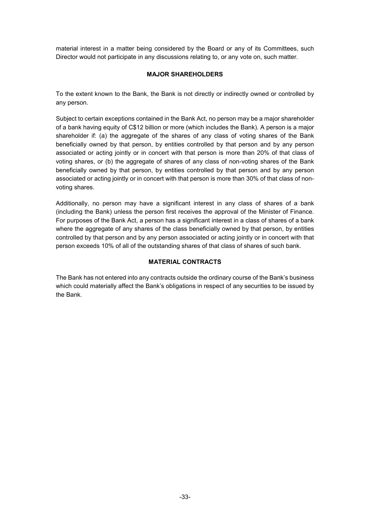material interest in a matter being considered by the Board or any of its Committees, such Director would not participate in any discussions relating to, or any vote on, such matter.

#### **MAJOR SHAREHOLDERS**

To the extent known to the Bank, the Bank is not directly or indirectly owned or controlled by any person.

Subject to certain exceptions contained in the Bank Act, no person may be a major shareholder of a bank having equity of C\$12 billion or more (which includes the Bank). A person is a major shareholder if: (a) the aggregate of the shares of any class of voting shares of the Bank beneficially owned by that person, by entities controlled by that person and by any person associated or acting jointly or in concert with that person is more than 20% of that class of voting shares, or (b) the aggregate of shares of any class of non-voting shares of the Bank beneficially owned by that person, by entities controlled by that person and by any person associated or acting jointly or in concert with that person is more than 30% of that class of nonvoting shares.

Additionally, no person may have a significant interest in any class of shares of a bank (including the Bank) unless the person first receives the approval of the Minister of Finance. For purposes of the Bank Act, a person has a significant interest in a class of shares of a bank where the aggregate of any shares of the class beneficially owned by that person, by entities controlled by that person and by any person associated or acting jointly or in concert with that person exceeds 10% of all of the outstanding shares of that class of shares of such bank.

#### **MATERIAL CONTRACTS**

The Bank has not entered into any contracts outside the ordinary course of the Bank's business which could materially affect the Bank's obligations in respect of any securities to be issued by the Bank.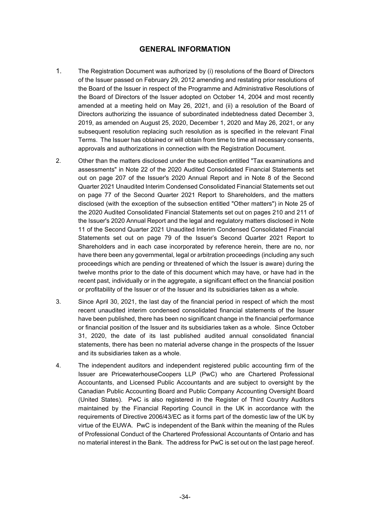# **GENERAL INFORMATION**

- 1. The Registration Document was authorized by (i) resolutions of the Board of Directors of the Issuer passed on February 29, 2012 amending and restating prior resolutions of the Board of the Issuer in respect of the Programme and Administrative Resolutions of the Board of Directors of the Issuer adopted on October 14, 2004 and most recently amended at a meeting held on May 26, 2021, and (ii) a resolution of the Board of Directors authorizing the issuance of subordinated indebtedness dated December 3, 2019, as amended on August 25, 2020, December 1, 2020 and May 26, 2021, or any subsequent resolution replacing such resolution as is specified in the relevant Final Terms. The Issuer has obtained or will obtain from time to time all necessary consents, approvals and authorizations in connection with the Registration Document.
- 2. Other than the matters disclosed under the subsection entitled "Tax examinations and assessments" in Note 22 of the 2020 Audited Consolidated Financial Statements set out on page 207 of the Issuer's 2020 Annual Report and in Note 8 of the Second Quarter 2021 Unaudited Interim Condensed Consolidated Financial Statements set out on page 77 of the Second Quarter 2021 Report to Shareholders, and the matters disclosed (with the exception of the subsection entitled "Other matters") in Note 25 of the 2020 Audited Consolidated Financial Statements set out on pages 210 and 211 of the Issuer's 2020 Annual Report and the legal and regulatory matters disclosed in Note 11 of the Second Quarter 2021 Unaudited Interim Condensed Consolidated Financial Statements set out on page 79 of the Issuer's Second Quarter 2021 Report to Shareholders and in each case incorporated by reference herein, there are no, nor have there been any governmental, legal or arbitration proceedings (including any such proceedings which are pending or threatened of which the Issuer is aware) during the twelve months prior to the date of this document which may have, or have had in the recent past, individually or in the aggregate, a significant effect on the financial position or profitability of the Issuer or of the Issuer and its subsidiaries taken as a whole.
- 3. Since April 30, 2021, the last day of the financial period in respect of which the most recent unaudited interim condensed consolidated financial statements of the Issuer have been published, there has been no significant change in the financial performance or financial position of the Issuer and its subsidiaries taken as a whole. Since October 31, 2020, the date of its last published audited annual consolidated financial statements, there has been no material adverse change in the prospects of the Issuer and its subsidiaries taken as a whole.
- 4. The independent auditors and independent registered public accounting firm of the Issuer are PricewaterhouseCoopers LLP (PwC) who are Chartered Professional Accountants, and Licensed Public Accountants and are subject to oversight by the Canadian Public Accounting Board and Public Company Accounting Oversight Board (United States). PwC is also registered in the Register of Third Country Auditors maintained by the Financial Reporting Council in the UK in accordance with the requirements of Directive 2006/43/EC as it forms part of the domestic law of the UK by virtue of the EUWA. PwC is independent of the Bank within the meaning of the Rules of Professional Conduct of the Chartered Professional Accountants of Ontario and has no material interest in the Bank. The address for PwC is set out on the last page hereof.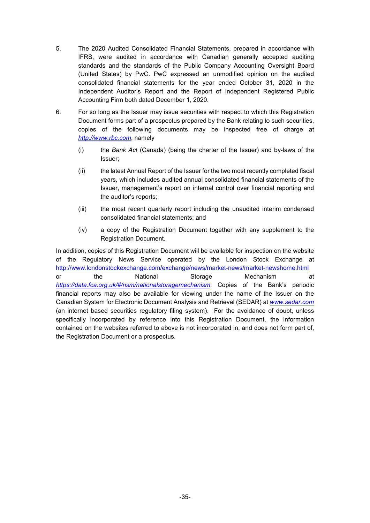- 5. The 2020 Audited Consolidated Financial Statements, prepared in accordance with IFRS, were audited in accordance with Canadian generally accepted auditing standards and the standards of the Public Company Accounting Oversight Board (United States) by PwC. PwC expressed an unmodified opinion on the audited consolidated financial statements for the year ended October 31, 2020 in the Independent Auditor's Report and the Report of Independent Registered Public Accounting Firm both dated December 1, 2020.
- 6. For so long as the Issuer may issue securities with respect to which this Registration Document forms part of a prospectus prepared by the Bank relating to such securities, copies of the following documents may be inspected free of charge at *http://www.rbc.com*, namely
	- (i) the *Bank Act* (Canada) (being the charter of the Issuer) and by-laws of the Issuer;
	- (ii) the latest Annual Report of the Issuer for the two most recently completed fiscal years, which includes audited annual consolidated financial statements of the Issuer, management's report on internal control over financial reporting and the auditor's reports;
	- (iii) the most recent quarterly report including the unaudited interim condensed consolidated financial statements; and
	- (iv) a copy of the Registration Document together with any supplement to the Registration Document.

In addition, copies of this Registration Document will be available for inspection on the website of the Regulatory News Service operated by the London Stock Exchange at http://www.londonstockexchange.com/exchange/news/market-news/market-newshome.html or the National Storage Mechanism at *https://data.fca.org.uk/#/nsm/nationalstoragemechanism*. Copies of the Bank's periodic financial reports may also be available for viewing under the name of the Issuer on the Canadian System for Electronic Document Analysis and Retrieval (SEDAR) at *www.sedar.com* (an internet based securities regulatory filing system). For the avoidance of doubt, unless specifically incorporated by reference into this Registration Document, the information contained on the websites referred to above is not incorporated in, and does not form part of, the Registration Document or a prospectus.